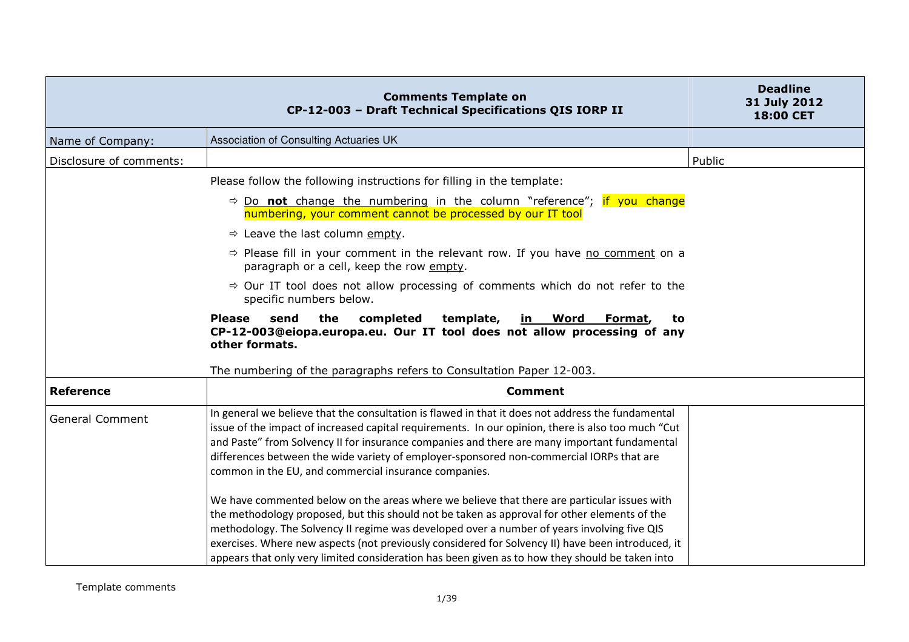|                         | <b>Comments Template on</b><br>CP-12-003 - Draft Technical Specifications QIS IORP II                                                                                                                                                                                                                                                                                                                                                                                                              | <b>Deadline</b><br>31 July 2012<br>18:00 CET |
|-------------------------|----------------------------------------------------------------------------------------------------------------------------------------------------------------------------------------------------------------------------------------------------------------------------------------------------------------------------------------------------------------------------------------------------------------------------------------------------------------------------------------------------|----------------------------------------------|
| Name of Company:        | Association of Consulting Actuaries UK                                                                                                                                                                                                                                                                                                                                                                                                                                                             |                                              |
| Disclosure of comments: |                                                                                                                                                                                                                                                                                                                                                                                                                                                                                                    | Public                                       |
|                         | Please follow the following instructions for filling in the template:                                                                                                                                                                                                                                                                                                                                                                                                                              |                                              |
|                         | $\Rightarrow$ Do not change the numbering in the column "reference"; if you change<br>numbering, your comment cannot be processed by our IT tool                                                                                                                                                                                                                                                                                                                                                   |                                              |
|                         | $\Rightarrow$ Leave the last column empty.                                                                                                                                                                                                                                                                                                                                                                                                                                                         |                                              |
|                         | → Please fill in your comment in the relevant row. If you have no comment on a<br>paragraph or a cell, keep the row empty.                                                                                                                                                                                                                                                                                                                                                                         |                                              |
|                         | $\Rightarrow$ Our IT tool does not allow processing of comments which do not refer to the<br>specific numbers below.                                                                                                                                                                                                                                                                                                                                                                               |                                              |
|                         | <b>Please</b><br>the<br>completed<br>template,<br>send<br><u>in Word</u><br>Format,<br>to<br>CP-12-003@eiopa.europa.eu. Our IT tool does not allow processing of any<br>other formats.                                                                                                                                                                                                                                                                                                             |                                              |
|                         | The numbering of the paragraphs refers to Consultation Paper 12-003.                                                                                                                                                                                                                                                                                                                                                                                                                               |                                              |
| <b>Reference</b>        | <b>Comment</b>                                                                                                                                                                                                                                                                                                                                                                                                                                                                                     |                                              |
| <b>General Comment</b>  | In general we believe that the consultation is flawed in that it does not address the fundamental<br>issue of the impact of increased capital requirements. In our opinion, there is also too much "Cut<br>and Paste" from Solvency II for insurance companies and there are many important fundamental<br>differences between the wide variety of employer-sponsored non-commercial IORPs that are<br>common in the EU, and commercial insurance companies.                                       |                                              |
|                         | We have commented below on the areas where we believe that there are particular issues with<br>the methodology proposed, but this should not be taken as approval for other elements of the<br>methodology. The Solvency II regime was developed over a number of years involving five QIS<br>exercises. Where new aspects (not previously considered for Solvency II) have been introduced, it<br>appears that only very limited consideration has been given as to how they should be taken into |                                              |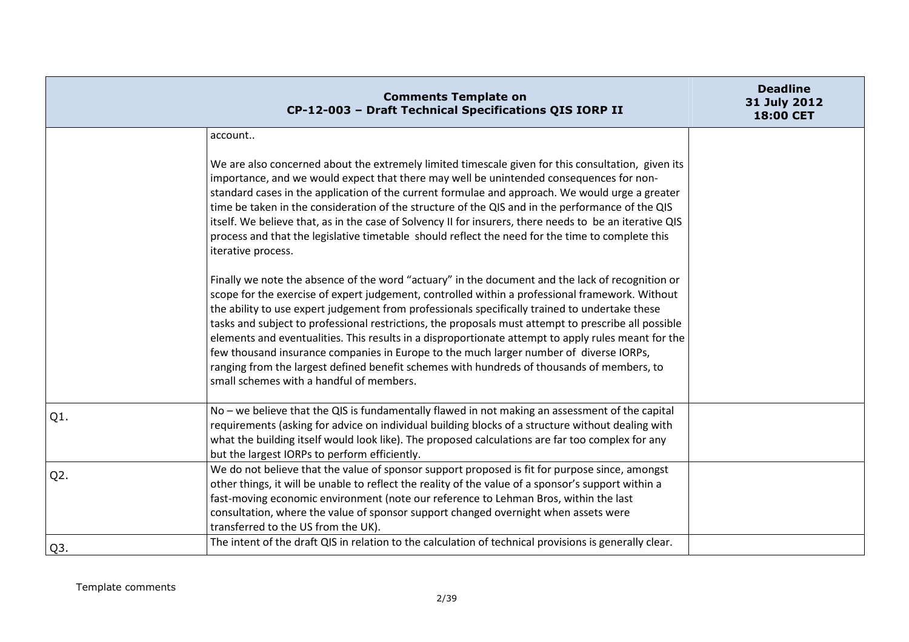|                  | <b>Comments Template on</b><br>CP-12-003 - Draft Technical Specifications QIS IORP II                                                                                                                                                                                                                                                                                                                                                                                                                                                                                                                                                                                                                                                                    | <b>Deadline</b><br>31 July 2012<br>18:00 CET |
|------------------|----------------------------------------------------------------------------------------------------------------------------------------------------------------------------------------------------------------------------------------------------------------------------------------------------------------------------------------------------------------------------------------------------------------------------------------------------------------------------------------------------------------------------------------------------------------------------------------------------------------------------------------------------------------------------------------------------------------------------------------------------------|----------------------------------------------|
|                  | account                                                                                                                                                                                                                                                                                                                                                                                                                                                                                                                                                                                                                                                                                                                                                  |                                              |
|                  | We are also concerned about the extremely limited timescale given for this consultation, given its<br>importance, and we would expect that there may well be unintended consequences for non-<br>standard cases in the application of the current formulae and approach. We would urge a greater<br>time be taken in the consideration of the structure of the QIS and in the performance of the QIS<br>itself. We believe that, as in the case of Solvency II for insurers, there needs to be an iterative QIS<br>process and that the legislative timetable should reflect the need for the time to complete this<br>iterative process.                                                                                                                |                                              |
|                  | Finally we note the absence of the word "actuary" in the document and the lack of recognition or<br>scope for the exercise of expert judgement, controlled within a professional framework. Without<br>the ability to use expert judgement from professionals specifically trained to undertake these<br>tasks and subject to professional restrictions, the proposals must attempt to prescribe all possible<br>elements and eventualities. This results in a disproportionate attempt to apply rules meant for the<br>few thousand insurance companies in Europe to the much larger number of diverse IORPs,<br>ranging from the largest defined benefit schemes with hundreds of thousands of members, to<br>small schemes with a handful of members. |                                              |
| Q1.              | No - we believe that the QIS is fundamentally flawed in not making an assessment of the capital<br>requirements (asking for advice on individual building blocks of a structure without dealing with<br>what the building itself would look like). The proposed calculations are far too complex for any<br>but the largest IORPs to perform efficiently.                                                                                                                                                                                                                                                                                                                                                                                                |                                              |
| $Q2$ .           | We do not believe that the value of sponsor support proposed is fit for purpose since, amongst<br>other things, it will be unable to reflect the reality of the value of a sponsor's support within a<br>fast-moving economic environment (note our reference to Lehman Bros, within the last<br>consultation, where the value of sponsor support changed overnight when assets were<br>transferred to the US from the UK).                                                                                                                                                                                                                                                                                                                              |                                              |
| Q <sub>3</sub> . | The intent of the draft QIS in relation to the calculation of technical provisions is generally clear.                                                                                                                                                                                                                                                                                                                                                                                                                                                                                                                                                                                                                                                   |                                              |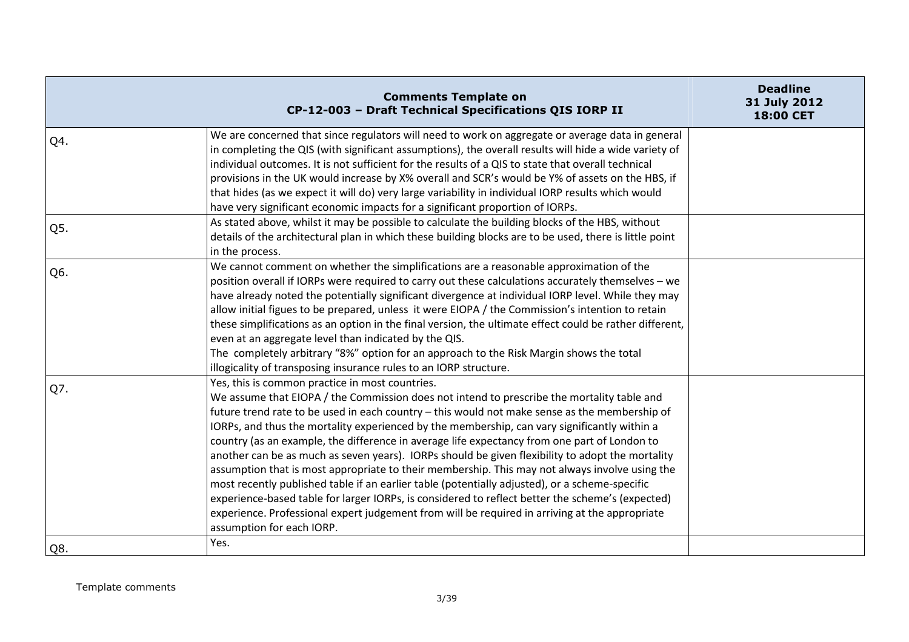|     | <b>Comments Template on</b><br>CP-12-003 - Draft Technical Specifications QIS IORP II                                                                                                                                                                                                                                                                                                                                                                                                                                                                                                                                                                                                                                                                                                                                                                                                                                                                                                     | <b>Deadline</b><br>31 July 2012<br>18:00 CET |
|-----|-------------------------------------------------------------------------------------------------------------------------------------------------------------------------------------------------------------------------------------------------------------------------------------------------------------------------------------------------------------------------------------------------------------------------------------------------------------------------------------------------------------------------------------------------------------------------------------------------------------------------------------------------------------------------------------------------------------------------------------------------------------------------------------------------------------------------------------------------------------------------------------------------------------------------------------------------------------------------------------------|----------------------------------------------|
| Q4. | We are concerned that since regulators will need to work on aggregate or average data in general<br>in completing the QIS (with significant assumptions), the overall results will hide a wide variety of<br>individual outcomes. It is not sufficient for the results of a QIS to state that overall technical<br>provisions in the UK would increase by X% overall and SCR's would be Y% of assets on the HBS, if<br>that hides (as we expect it will do) very large variability in individual IORP results which would<br>have very significant economic impacts for a significant proportion of IORPs.                                                                                                                                                                                                                                                                                                                                                                                |                                              |
| Q5. | As stated above, whilst it may be possible to calculate the building blocks of the HBS, without<br>details of the architectural plan in which these building blocks are to be used, there is little point<br>in the process.                                                                                                                                                                                                                                                                                                                                                                                                                                                                                                                                                                                                                                                                                                                                                              |                                              |
| Q6. | We cannot comment on whether the simplifications are a reasonable approximation of the<br>position overall if IORPs were required to carry out these calculations accurately themselves - we<br>have already noted the potentially significant divergence at individual IORP level. While they may<br>allow initial figues to be prepared, unless it were EIOPA / the Commission's intention to retain<br>these simplifications as an option in the final version, the ultimate effect could be rather different,<br>even at an aggregate level than indicated by the QIS.<br>The completely arbitrary "8%" option for an approach to the Risk Margin shows the total<br>illogicality of transposing insurance rules to an IORP structure.                                                                                                                                                                                                                                                |                                              |
| Q7. | Yes, this is common practice in most countries.<br>We assume that EIOPA / the Commission does not intend to prescribe the mortality table and<br>future trend rate to be used in each country - this would not make sense as the membership of<br>IORPs, and thus the mortality experienced by the membership, can vary significantly within a<br>country (as an example, the difference in average life expectancy from one part of London to<br>another can be as much as seven years). IORPs should be given flexibility to adopt the mortality<br>assumption that is most appropriate to their membership. This may not always involve using the<br>most recently published table if an earlier table (potentially adjusted), or a scheme-specific<br>experience-based table for larger IORPs, is considered to reflect better the scheme's (expected)<br>experience. Professional expert judgement from will be required in arriving at the appropriate<br>assumption for each IORP. |                                              |
| Q8. | Yes.                                                                                                                                                                                                                                                                                                                                                                                                                                                                                                                                                                                                                                                                                                                                                                                                                                                                                                                                                                                      |                                              |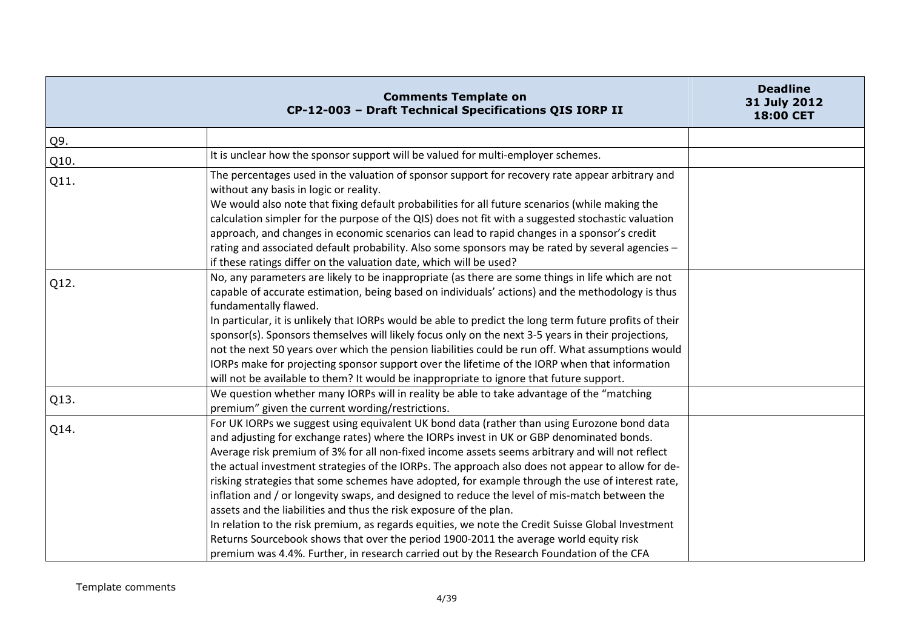|      | <b>Comments Template on</b><br>CP-12-003 - Draft Technical Specifications QIS IORP II                                                                                                                                                                                                                                                                                                                                                                                                                                                                                                                                                                                                                                                                                                                                                                                                                                                                                | <b>Deadline</b><br>31 July 2012<br>18:00 CET |
|------|----------------------------------------------------------------------------------------------------------------------------------------------------------------------------------------------------------------------------------------------------------------------------------------------------------------------------------------------------------------------------------------------------------------------------------------------------------------------------------------------------------------------------------------------------------------------------------------------------------------------------------------------------------------------------------------------------------------------------------------------------------------------------------------------------------------------------------------------------------------------------------------------------------------------------------------------------------------------|----------------------------------------------|
| Q9.  |                                                                                                                                                                                                                                                                                                                                                                                                                                                                                                                                                                                                                                                                                                                                                                                                                                                                                                                                                                      |                                              |
| Q10. | It is unclear how the sponsor support will be valued for multi-employer schemes.                                                                                                                                                                                                                                                                                                                                                                                                                                                                                                                                                                                                                                                                                                                                                                                                                                                                                     |                                              |
| Q11. | The percentages used in the valuation of sponsor support for recovery rate appear arbitrary and<br>without any basis in logic or reality.<br>We would also note that fixing default probabilities for all future scenarios (while making the<br>calculation simpler for the purpose of the QIS) does not fit with a suggested stochastic valuation<br>approach, and changes in economic scenarios can lead to rapid changes in a sponsor's credit<br>rating and associated default probability. Also some sponsors may be rated by several agencies -<br>if these ratings differ on the valuation date, which will be used?                                                                                                                                                                                                                                                                                                                                          |                                              |
| Q12. | No, any parameters are likely to be inappropriate (as there are some things in life which are not<br>capable of accurate estimation, being based on individuals' actions) and the methodology is thus<br>fundamentally flawed.<br>In particular, it is unlikely that IORPs would be able to predict the long term future profits of their<br>sponsor(s). Sponsors themselves will likely focus only on the next 3-5 years in their projections,<br>not the next 50 years over which the pension liabilities could be run off. What assumptions would<br>IORPs make for projecting sponsor support over the lifetime of the IORP when that information<br>will not be available to them? It would be inappropriate to ignore that future support.                                                                                                                                                                                                                     |                                              |
| Q13. | We question whether many IORPs will in reality be able to take advantage of the "matching<br>premium" given the current wording/restrictions.                                                                                                                                                                                                                                                                                                                                                                                                                                                                                                                                                                                                                                                                                                                                                                                                                        |                                              |
| Q14. | For UK IORPs we suggest using equivalent UK bond data (rather than using Eurozone bond data<br>and adjusting for exchange rates) where the IORPs invest in UK or GBP denominated bonds.<br>Average risk premium of 3% for all non-fixed income assets seems arbitrary and will not reflect<br>the actual investment strategies of the IORPs. The approach also does not appear to allow for de-<br>risking strategies that some schemes have adopted, for example through the use of interest rate,<br>inflation and / or longevity swaps, and designed to reduce the level of mis-match between the<br>assets and the liabilities and thus the risk exposure of the plan.<br>In relation to the risk premium, as regards equities, we note the Credit Suisse Global Investment<br>Returns Sourcebook shows that over the period 1900-2011 the average world equity risk<br>premium was 4.4%. Further, in research carried out by the Research Foundation of the CFA |                                              |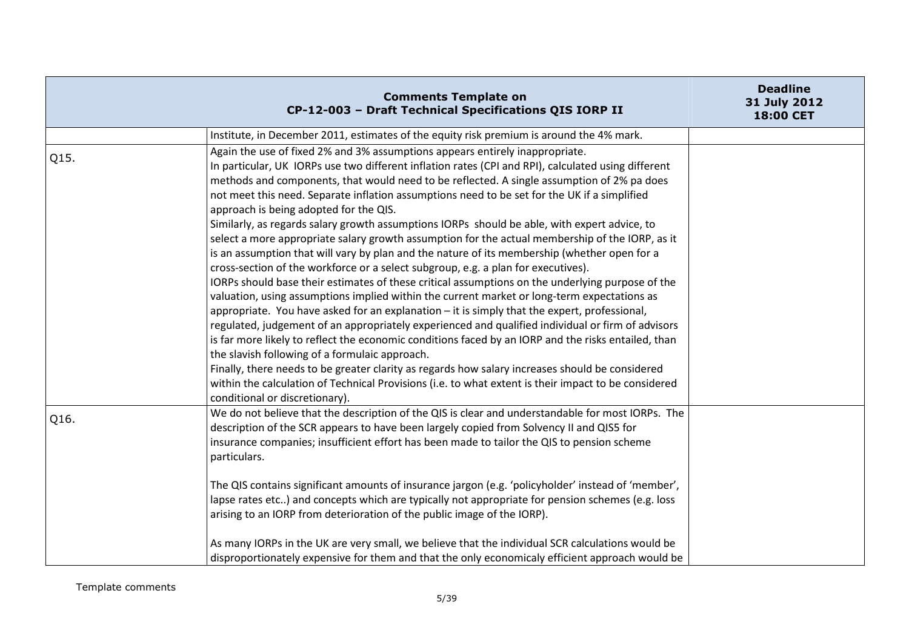|      | <b>Comments Template on</b><br>CP-12-003 - Draft Technical Specifications QIS IORP II                                                                                                                                                                                                                                                                                                                                                                                                                                                                                                                                                                                                                                                                                                                                                                                                                                                                                                                                                                                                                                                                                                                                                                                                                                                                                                                                                                                                                                                                                                                                             | <b>Deadline</b><br>31 July 2012<br>18:00 CET |
|------|-----------------------------------------------------------------------------------------------------------------------------------------------------------------------------------------------------------------------------------------------------------------------------------------------------------------------------------------------------------------------------------------------------------------------------------------------------------------------------------------------------------------------------------------------------------------------------------------------------------------------------------------------------------------------------------------------------------------------------------------------------------------------------------------------------------------------------------------------------------------------------------------------------------------------------------------------------------------------------------------------------------------------------------------------------------------------------------------------------------------------------------------------------------------------------------------------------------------------------------------------------------------------------------------------------------------------------------------------------------------------------------------------------------------------------------------------------------------------------------------------------------------------------------------------------------------------------------------------------------------------------------|----------------------------------------------|
|      | Institute, in December 2011, estimates of the equity risk premium is around the 4% mark.                                                                                                                                                                                                                                                                                                                                                                                                                                                                                                                                                                                                                                                                                                                                                                                                                                                                                                                                                                                                                                                                                                                                                                                                                                                                                                                                                                                                                                                                                                                                          |                                              |
| Q15. | Again the use of fixed 2% and 3% assumptions appears entirely inappropriate.<br>In particular, UK IORPs use two different inflation rates (CPI and RPI), calculated using different<br>methods and components, that would need to be reflected. A single assumption of 2% pa does<br>not meet this need. Separate inflation assumptions need to be set for the UK if a simplified<br>approach is being adopted for the QIS.<br>Similarly, as regards salary growth assumptions IORPs should be able, with expert advice, to<br>select a more appropriate salary growth assumption for the actual membership of the IORP, as it<br>is an assumption that will vary by plan and the nature of its membership (whether open for a<br>cross-section of the workforce or a select subgroup, e.g. a plan for executives).<br>IORPs should base their estimates of these critical assumptions on the underlying purpose of the<br>valuation, using assumptions implied within the current market or long-term expectations as<br>appropriate. You have asked for an explanation - it is simply that the expert, professional,<br>regulated, judgement of an appropriately experienced and qualified individual or firm of advisors<br>is far more likely to reflect the economic conditions faced by an IORP and the risks entailed, than<br>the slavish following of a formulaic approach.<br>Finally, there needs to be greater clarity as regards how salary increases should be considered<br>within the calculation of Technical Provisions (i.e. to what extent is their impact to be considered<br>conditional or discretionary). |                                              |
| Q16. | We do not believe that the description of the QIS is clear and understandable for most IORPs. The<br>description of the SCR appears to have been largely copied from Solvency II and QIS5 for<br>insurance companies; insufficient effort has been made to tailor the QIS to pension scheme<br>particulars.                                                                                                                                                                                                                                                                                                                                                                                                                                                                                                                                                                                                                                                                                                                                                                                                                                                                                                                                                                                                                                                                                                                                                                                                                                                                                                                       |                                              |
|      | The QIS contains significant amounts of insurance jargon (e.g. 'policyholder' instead of 'member',<br>lapse rates etc) and concepts which are typically not appropriate for pension schemes (e.g. loss<br>arising to an IORP from deterioration of the public image of the IORP).                                                                                                                                                                                                                                                                                                                                                                                                                                                                                                                                                                                                                                                                                                                                                                                                                                                                                                                                                                                                                                                                                                                                                                                                                                                                                                                                                 |                                              |
|      | As many IORPs in the UK are very small, we believe that the individual SCR calculations would be<br>disproportionately expensive for them and that the only economicaly efficient approach would be                                                                                                                                                                                                                                                                                                                                                                                                                                                                                                                                                                                                                                                                                                                                                                                                                                                                                                                                                                                                                                                                                                                                                                                                                                                                                                                                                                                                                               |                                              |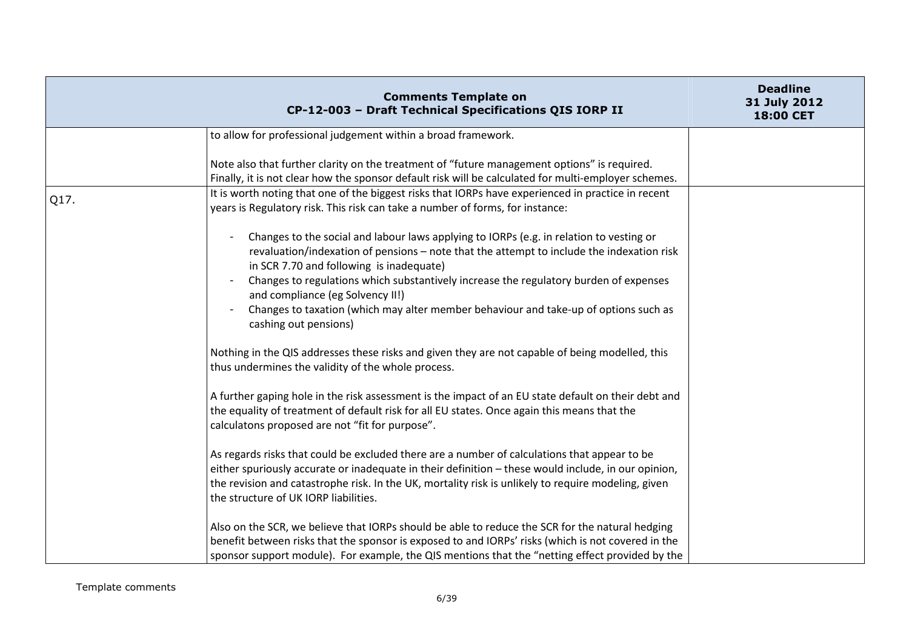|      | <b>Comments Template on</b><br>CP-12-003 - Draft Technical Specifications QIS IORP II                                                                                                                                                                                                                                                                                                                                                                                          | <b>Deadline</b><br>31 July 2012<br>18:00 CET |
|------|--------------------------------------------------------------------------------------------------------------------------------------------------------------------------------------------------------------------------------------------------------------------------------------------------------------------------------------------------------------------------------------------------------------------------------------------------------------------------------|----------------------------------------------|
|      | to allow for professional judgement within a broad framework.                                                                                                                                                                                                                                                                                                                                                                                                                  |                                              |
|      | Note also that further clarity on the treatment of "future management options" is required.<br>Finally, it is not clear how the sponsor default risk will be calculated for multi-employer schemes.                                                                                                                                                                                                                                                                            |                                              |
| Q17. | It is worth noting that one of the biggest risks that IORPs have experienced in practice in recent<br>years is Regulatory risk. This risk can take a number of forms, for instance:                                                                                                                                                                                                                                                                                            |                                              |
|      | Changes to the social and labour laws applying to IORPs (e.g. in relation to vesting or<br>revaluation/indexation of pensions - note that the attempt to include the indexation risk<br>in SCR 7.70 and following is inadequate)<br>Changes to regulations which substantively increase the regulatory burden of expenses<br>and compliance (eg Solvency II!)<br>Changes to taxation (which may alter member behaviour and take-up of options such as<br>cashing out pensions) |                                              |
|      | Nothing in the QIS addresses these risks and given they are not capable of being modelled, this<br>thus undermines the validity of the whole process.                                                                                                                                                                                                                                                                                                                          |                                              |
|      | A further gaping hole in the risk assessment is the impact of an EU state default on their debt and<br>the equality of treatment of default risk for all EU states. Once again this means that the<br>calculatons proposed are not "fit for purpose".                                                                                                                                                                                                                          |                                              |
|      | As regards risks that could be excluded there are a number of calculations that appear to be<br>either spuriously accurate or inadequate in their definition - these would include, in our opinion,<br>the revision and catastrophe risk. In the UK, mortality risk is unlikely to require modeling, given<br>the structure of UK IORP liabilities.                                                                                                                            |                                              |
|      | Also on the SCR, we believe that IORPs should be able to reduce the SCR for the natural hedging<br>benefit between risks that the sponsor is exposed to and IORPs' risks (which is not covered in the<br>sponsor support module). For example, the QIS mentions that the "netting effect provided by the                                                                                                                                                                       |                                              |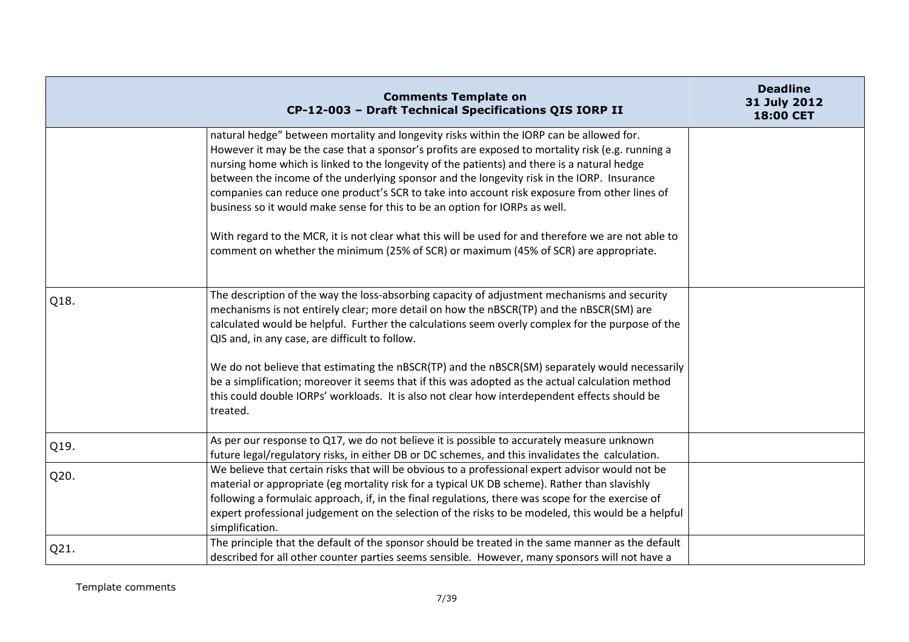|      | <b>Comments Template on</b><br>CP-12-003 - Draft Technical Specifications QIS IORP II                                                                                                                                                                                                                                                                                                                                                                                                                                                                                                                                                                                                                                                                                     | <b>Deadline</b><br>31 July 2012<br>18:00 CET |
|------|---------------------------------------------------------------------------------------------------------------------------------------------------------------------------------------------------------------------------------------------------------------------------------------------------------------------------------------------------------------------------------------------------------------------------------------------------------------------------------------------------------------------------------------------------------------------------------------------------------------------------------------------------------------------------------------------------------------------------------------------------------------------------|----------------------------------------------|
|      | natural hedge" between mortality and longevity risks within the IORP can be allowed for.<br>However it may be the case that a sponsor's profits are exposed to mortality risk (e.g. running a<br>nursing home which is linked to the longevity of the patients) and there is a natural hedge<br>between the income of the underlying sponsor and the longevity risk in the IORP. Insurance<br>companies can reduce one product's SCR to take into account risk exposure from other lines of<br>business so it would make sense for this to be an option for IORPs as well.<br>With regard to the MCR, it is not clear what this will be used for and therefore we are not able to<br>comment on whether the minimum (25% of SCR) or maximum (45% of SCR) are appropriate. |                                              |
| Q18. | The description of the way the loss-absorbing capacity of adjustment mechanisms and security<br>mechanisms is not entirely clear; more detail on how the nBSCR(TP) and the nBSCR(SM) are<br>calculated would be helpful. Further the calculations seem overly complex for the purpose of the<br>QIS and, in any case, are difficult to follow.<br>We do not believe that estimating the nBSCR(TP) and the nBSCR(SM) separately would necessarily<br>be a simplification; moreover it seems that if this was adopted as the actual calculation method<br>this could double IORPs' workloads. It is also not clear how interdependent effects should be<br>treated.                                                                                                         |                                              |
| Q19. | As per our response to Q17, we do not believe it is possible to accurately measure unknown<br>future legal/regulatory risks, in either DB or DC schemes, and this invalidates the calculation.                                                                                                                                                                                                                                                                                                                                                                                                                                                                                                                                                                            |                                              |
| Q20. | We believe that certain risks that will be obvious to a professional expert advisor would not be<br>material or appropriate (eg mortality risk for a typical UK DB scheme). Rather than slavishly<br>following a formulaic approach, if, in the final regulations, there was scope for the exercise of<br>expert professional judgement on the selection of the risks to be modeled, this would be a helpful<br>simplification.                                                                                                                                                                                                                                                                                                                                           |                                              |
| Q21. | The principle that the default of the sponsor should be treated in the same manner as the default<br>described for all other counter parties seems sensible. However, many sponsors will not have a                                                                                                                                                                                                                                                                                                                                                                                                                                                                                                                                                                       |                                              |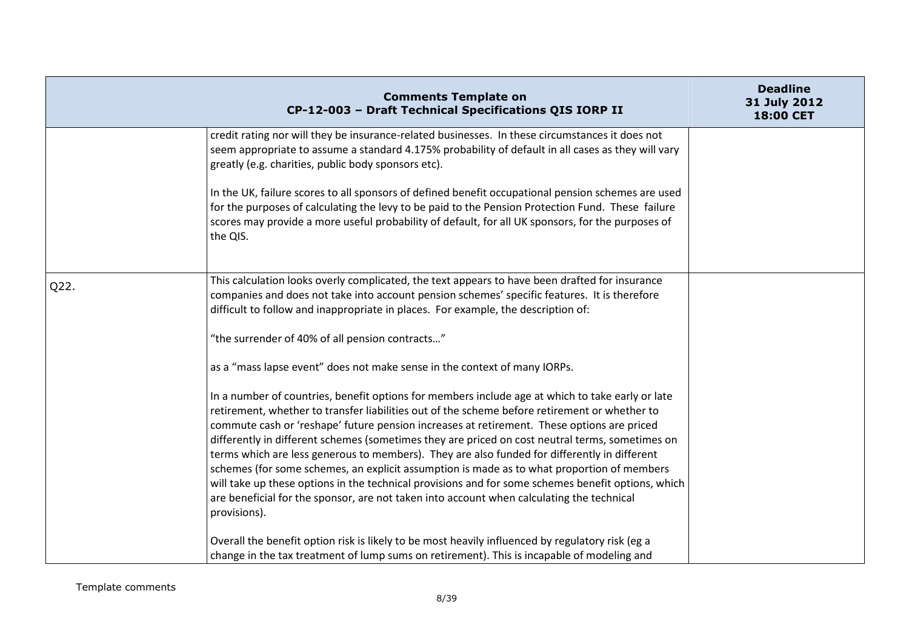|      | <b>Comments Template on</b><br>CP-12-003 - Draft Technical Specifications QIS IORP II                                                                                                                                                                                                                                                                                                                                                                                                                                                                                                                                                                                                                                                                                                                               | <b>Deadline</b><br>31 July 2012<br><b>18:00 CET</b> |
|------|---------------------------------------------------------------------------------------------------------------------------------------------------------------------------------------------------------------------------------------------------------------------------------------------------------------------------------------------------------------------------------------------------------------------------------------------------------------------------------------------------------------------------------------------------------------------------------------------------------------------------------------------------------------------------------------------------------------------------------------------------------------------------------------------------------------------|-----------------------------------------------------|
|      | credit rating nor will they be insurance-related businesses. In these circumstances it does not<br>seem appropriate to assume a standard 4.175% probability of default in all cases as they will vary<br>greatly (e.g. charities, public body sponsors etc).                                                                                                                                                                                                                                                                                                                                                                                                                                                                                                                                                        |                                                     |
|      | In the UK, failure scores to all sponsors of defined benefit occupational pension schemes are used<br>for the purposes of calculating the levy to be paid to the Pension Protection Fund. These failure<br>scores may provide a more useful probability of default, for all UK sponsors, for the purposes of<br>the QIS.                                                                                                                                                                                                                                                                                                                                                                                                                                                                                            |                                                     |
| Q22. | This calculation looks overly complicated, the text appears to have been drafted for insurance<br>companies and does not take into account pension schemes' specific features. It is therefore<br>difficult to follow and inappropriate in places. For example, the description of:                                                                                                                                                                                                                                                                                                                                                                                                                                                                                                                                 |                                                     |
|      | "the surrender of 40% of all pension contracts"                                                                                                                                                                                                                                                                                                                                                                                                                                                                                                                                                                                                                                                                                                                                                                     |                                                     |
|      | as a "mass lapse event" does not make sense in the context of many IORPs.                                                                                                                                                                                                                                                                                                                                                                                                                                                                                                                                                                                                                                                                                                                                           |                                                     |
|      | In a number of countries, benefit options for members include age at which to take early or late<br>retirement, whether to transfer liabilities out of the scheme before retirement or whether to<br>commute cash or 'reshape' future pension increases at retirement. These options are priced<br>differently in different schemes (sometimes they are priced on cost neutral terms, sometimes on<br>terms which are less generous to members). They are also funded for differently in different<br>schemes (for some schemes, an explicit assumption is made as to what proportion of members<br>will take up these options in the technical provisions and for some schemes benefit options, which<br>are beneficial for the sponsor, are not taken into account when calculating the technical<br>provisions). |                                                     |
|      | Overall the benefit option risk is likely to be most heavily influenced by regulatory risk (eg a<br>change in the tax treatment of lump sums on retirement). This is incapable of modeling and                                                                                                                                                                                                                                                                                                                                                                                                                                                                                                                                                                                                                      |                                                     |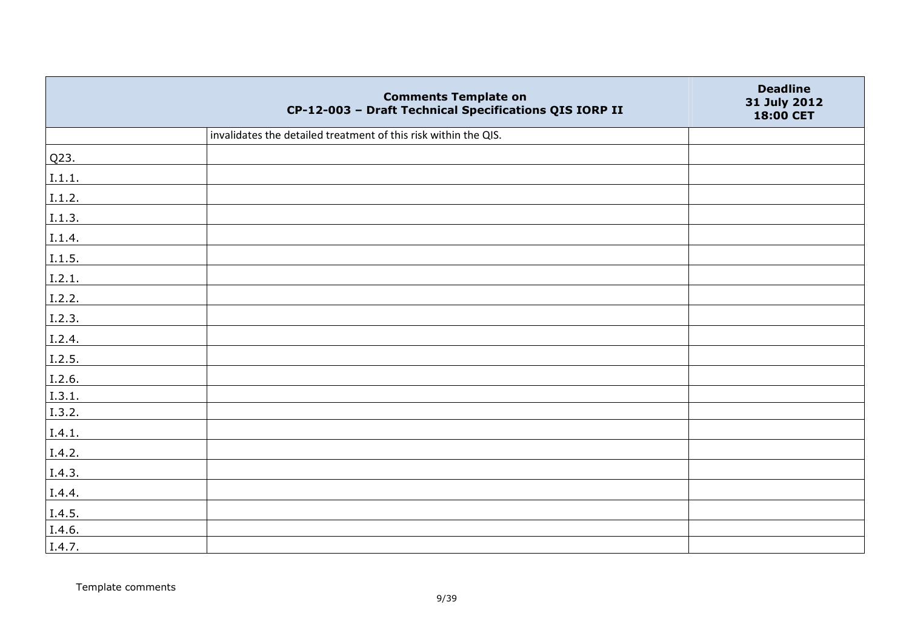|                | <b>Comments Template on</b><br>CP-12-003 - Draft Technical Specifications QIS IORP II | <b>Deadline</b><br>31 July 2012<br>18:00 CET |
|----------------|---------------------------------------------------------------------------------------|----------------------------------------------|
|                | invalidates the detailed treatment of this risk within the QIS.                       |                                              |
| Q23.           |                                                                                       |                                              |
| 1.1.1.         |                                                                                       |                                              |
| $\vert$ I.1.2. |                                                                                       |                                              |
| 1.1.3.         |                                                                                       |                                              |
| I.1.4.         |                                                                                       |                                              |
| I.1.5.         |                                                                                       |                                              |
| I.2.1.         |                                                                                       |                                              |
| I.2.2.         |                                                                                       |                                              |
| I.2.3.         |                                                                                       |                                              |
| I.2.4.         |                                                                                       |                                              |
| I.2.5.         |                                                                                       |                                              |
| I.2.6.         |                                                                                       |                                              |
| 1.3.1.         |                                                                                       |                                              |
| I.3.2.         |                                                                                       |                                              |
| I.4.1.         |                                                                                       |                                              |
| I.4.2.         |                                                                                       |                                              |
| I.4.3.         |                                                                                       |                                              |
| I.4.4.         |                                                                                       |                                              |
| I.4.5.         |                                                                                       |                                              |
| I.4.6.         |                                                                                       |                                              |
| I.4.7.         |                                                                                       |                                              |

Template comments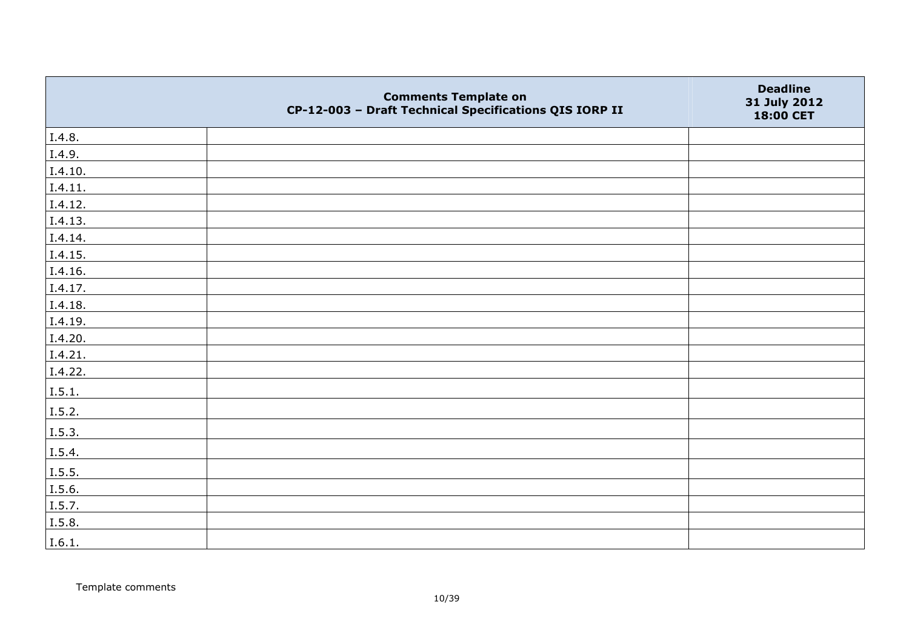|         | <b>Comments Template on</b><br>CP-12-003 - Draft Technical Specifications QIS IORP II | <b>Deadline</b><br>31 July 2012<br>18:00 CET |
|---------|---------------------------------------------------------------------------------------|----------------------------------------------|
| I.4.8.  |                                                                                       |                                              |
| I.4.9.  |                                                                                       |                                              |
| I.4.10. |                                                                                       |                                              |
| I.4.11. |                                                                                       |                                              |
| I.4.12. |                                                                                       |                                              |
| I.4.13. |                                                                                       |                                              |
| I.4.14. |                                                                                       |                                              |
| I.4.15. |                                                                                       |                                              |
| I.4.16. |                                                                                       |                                              |
| I.4.17. |                                                                                       |                                              |
| I.4.18. |                                                                                       |                                              |
| I.4.19. |                                                                                       |                                              |
| I.4.20. |                                                                                       |                                              |
| I.4.21. |                                                                                       |                                              |
| I.4.22. |                                                                                       |                                              |
| I.5.1.  |                                                                                       |                                              |
| I.5.2.  |                                                                                       |                                              |
| I.5.3.  |                                                                                       |                                              |
| I.5.4.  |                                                                                       |                                              |
| I.5.5.  |                                                                                       |                                              |
| I.5.6.  |                                                                                       |                                              |
| I.5.7.  |                                                                                       |                                              |
| I.5.8.  |                                                                                       |                                              |
| I.6.1.  |                                                                                       |                                              |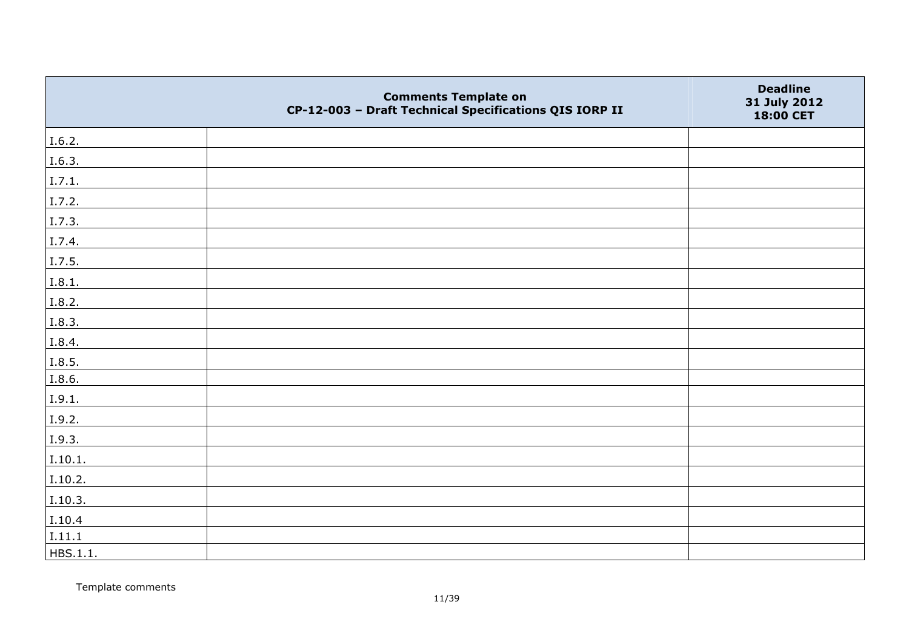|          | <b>Comments Template on</b><br>CP-12-003 - Draft Technical Specifications QIS IORP II | <b>Deadline</b><br>31 July 2012<br>18:00 CET |
|----------|---------------------------------------------------------------------------------------|----------------------------------------------|
| I.6.2.   |                                                                                       |                                              |
| I.6.3.   |                                                                                       |                                              |
| I.7.1.   |                                                                                       |                                              |
| I.7.2.   |                                                                                       |                                              |
| I.7.3.   |                                                                                       |                                              |
| I.7.4.   |                                                                                       |                                              |
| I.7.5.   |                                                                                       |                                              |
| I.8.1.   |                                                                                       |                                              |
| I.8.2.   |                                                                                       |                                              |
| I.8.3.   |                                                                                       |                                              |
| I.8.4.   |                                                                                       |                                              |
| I.8.5.   |                                                                                       |                                              |
| I.8.6.   |                                                                                       |                                              |
| I.9.1.   |                                                                                       |                                              |
| I.9.2.   |                                                                                       |                                              |
| I.9.3.   |                                                                                       |                                              |
| I.10.1.  |                                                                                       |                                              |
| I.10.2.  |                                                                                       |                                              |
| I.10.3.  |                                                                                       |                                              |
| I.10.4   |                                                                                       |                                              |
| I.11.1   |                                                                                       |                                              |
| HBS.1.1. |                                                                                       |                                              |

Template comments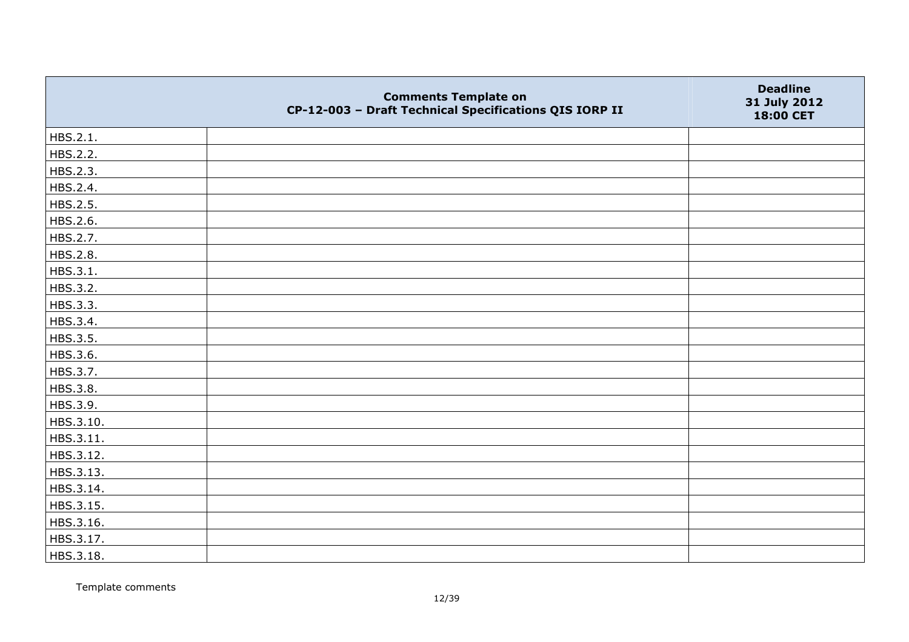|           | <b>Comments Template on</b><br>CP-12-003 - Draft Technical Specifications QIS IORP II | <b>Deadline</b><br>31 July 2012<br>18:00 CET |
|-----------|---------------------------------------------------------------------------------------|----------------------------------------------|
| HBS.2.1.  |                                                                                       |                                              |
| HBS.2.2.  |                                                                                       |                                              |
| HBS.2.3.  |                                                                                       |                                              |
| HBS.2.4.  |                                                                                       |                                              |
| HBS.2.5.  |                                                                                       |                                              |
| HBS.2.6.  |                                                                                       |                                              |
| HBS.2.7.  |                                                                                       |                                              |
| HBS.2.8.  |                                                                                       |                                              |
| HBS.3.1.  |                                                                                       |                                              |
| HBS.3.2.  |                                                                                       |                                              |
| HBS.3.3.  |                                                                                       |                                              |
| HBS.3.4.  |                                                                                       |                                              |
| HBS.3.5.  |                                                                                       |                                              |
| HBS.3.6.  |                                                                                       |                                              |
| HBS.3.7.  |                                                                                       |                                              |
| HBS.3.8.  |                                                                                       |                                              |
| HBS.3.9.  |                                                                                       |                                              |
| HBS.3.10. |                                                                                       |                                              |
| HBS.3.11. |                                                                                       |                                              |
| HBS.3.12. |                                                                                       |                                              |
| HBS.3.13. |                                                                                       |                                              |
| HBS.3.14. |                                                                                       |                                              |
| HBS.3.15. |                                                                                       |                                              |
| HBS.3.16. |                                                                                       |                                              |
| HBS.3.17. |                                                                                       |                                              |
| HBS.3.18. |                                                                                       |                                              |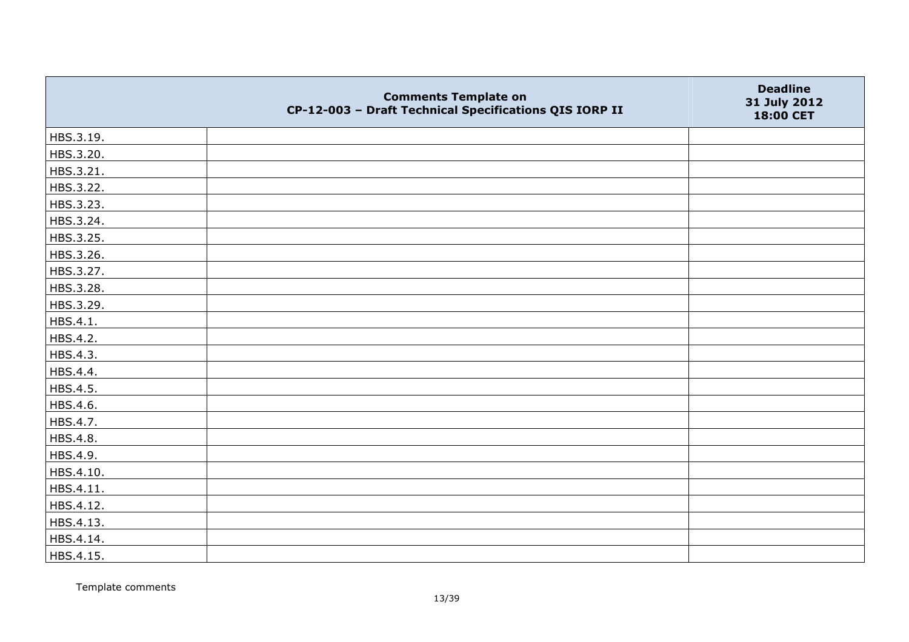|           | <b>Comments Template on</b><br>CP-12-003 - Draft Technical Specifications QIS IORP II | <b>Deadline</b><br>31 July 2012<br>18:00 CET |
|-----------|---------------------------------------------------------------------------------------|----------------------------------------------|
| HBS.3.19. |                                                                                       |                                              |
| HBS.3.20. |                                                                                       |                                              |
| HBS.3.21. |                                                                                       |                                              |
| HBS.3.22. |                                                                                       |                                              |
| HBS.3.23. |                                                                                       |                                              |
| HBS.3.24. |                                                                                       |                                              |
| HBS.3.25. |                                                                                       |                                              |
| HBS.3.26. |                                                                                       |                                              |
| HBS.3.27. |                                                                                       |                                              |
| HBS.3.28. |                                                                                       |                                              |
| HBS.3.29. |                                                                                       |                                              |
| HBS.4.1.  |                                                                                       |                                              |
| HBS.4.2.  |                                                                                       |                                              |
| HBS.4.3.  |                                                                                       |                                              |
| HBS.4.4.  |                                                                                       |                                              |
| HBS.4.5.  |                                                                                       |                                              |
| HBS.4.6.  |                                                                                       |                                              |
| HBS.4.7.  |                                                                                       |                                              |
| HBS.4.8.  |                                                                                       |                                              |
| HBS.4.9.  |                                                                                       |                                              |
| HBS.4.10. |                                                                                       |                                              |
| HBS.4.11. |                                                                                       |                                              |
| HBS.4.12. |                                                                                       |                                              |
| HBS.4.13. |                                                                                       |                                              |
| HBS.4.14. |                                                                                       |                                              |
| HBS.4.15. |                                                                                       |                                              |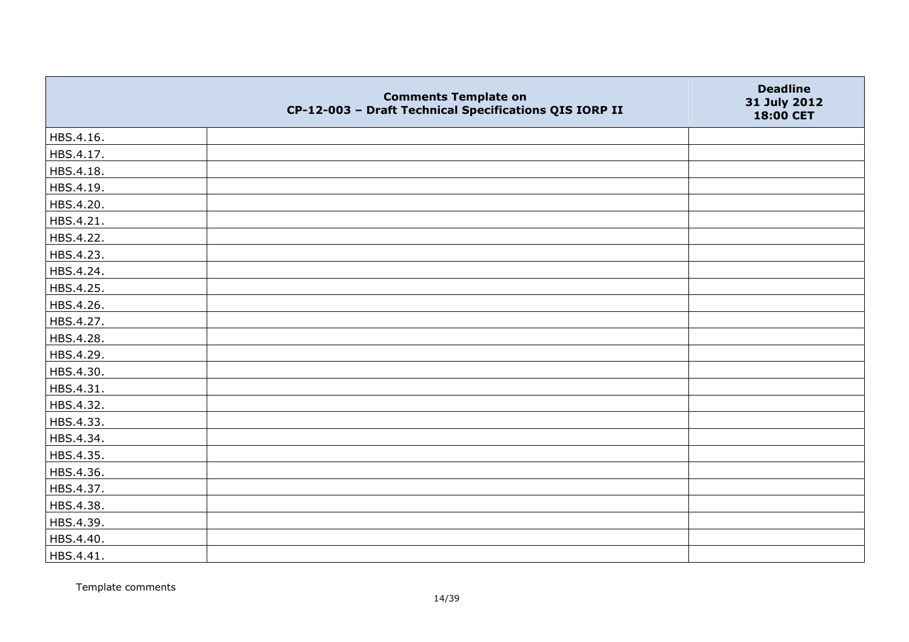|           | <b>Comments Template on</b><br>CP-12-003 - Draft Technical Specifications QIS IORP II | <b>Deadline</b><br>31 July 2012<br>18:00 CET |
|-----------|---------------------------------------------------------------------------------------|----------------------------------------------|
| HBS.4.16. |                                                                                       |                                              |
| HBS.4.17. |                                                                                       |                                              |
| HBS.4.18. |                                                                                       |                                              |
| HBS.4.19. |                                                                                       |                                              |
| HBS.4.20. |                                                                                       |                                              |
| HBS.4.21. |                                                                                       |                                              |
| HBS.4.22. |                                                                                       |                                              |
| HBS.4.23. |                                                                                       |                                              |
| HBS.4.24. |                                                                                       |                                              |
| HBS.4.25. |                                                                                       |                                              |
| HBS.4.26. |                                                                                       |                                              |
| HBS.4.27. |                                                                                       |                                              |
| HBS.4.28. |                                                                                       |                                              |
| HBS.4.29. |                                                                                       |                                              |
| HBS.4.30. |                                                                                       |                                              |
| HBS.4.31. |                                                                                       |                                              |
| HBS.4.32. |                                                                                       |                                              |
| HBS.4.33. |                                                                                       |                                              |
| HBS.4.34. |                                                                                       |                                              |
| HBS.4.35. |                                                                                       |                                              |
| HBS.4.36. |                                                                                       |                                              |
| HBS.4.37. |                                                                                       |                                              |
| HBS.4.38. |                                                                                       |                                              |
| HBS.4.39. |                                                                                       |                                              |
| HBS.4.40. |                                                                                       |                                              |
| HBS.4.41. |                                                                                       |                                              |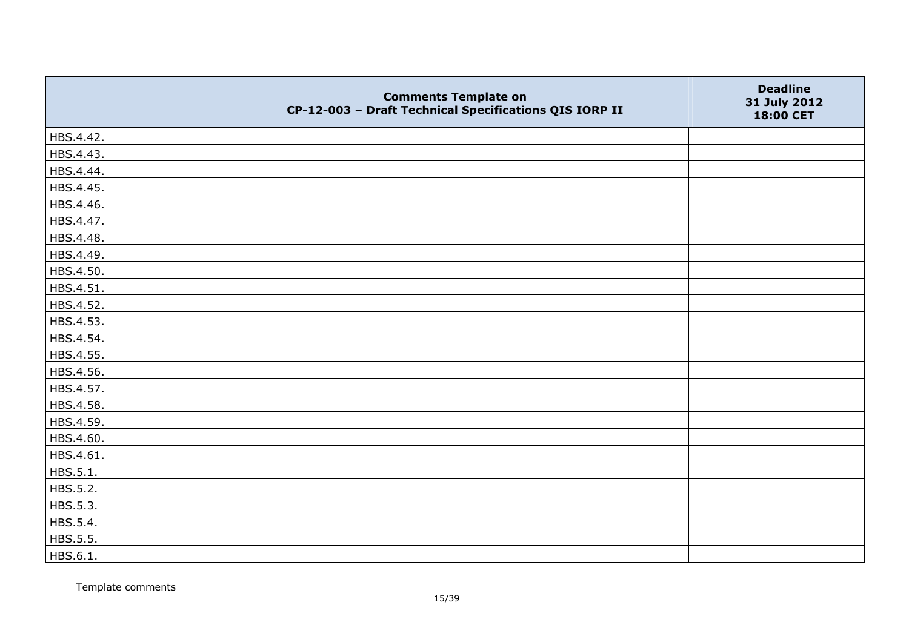|           | <b>Comments Template on</b><br>CP-12-003 - Draft Technical Specifications QIS IORP II | <b>Deadline</b><br>31 July 2012<br>18:00 CET |
|-----------|---------------------------------------------------------------------------------------|----------------------------------------------|
| HBS.4.42. |                                                                                       |                                              |
| HBS.4.43. |                                                                                       |                                              |
| HBS.4.44. |                                                                                       |                                              |
| HBS.4.45. |                                                                                       |                                              |
| HBS.4.46. |                                                                                       |                                              |
| HBS.4.47. |                                                                                       |                                              |
| HBS.4.48. |                                                                                       |                                              |
| HBS.4.49. |                                                                                       |                                              |
| HBS.4.50. |                                                                                       |                                              |
| HBS.4.51. |                                                                                       |                                              |
| HBS.4.52. |                                                                                       |                                              |
| HBS.4.53. |                                                                                       |                                              |
| HBS.4.54. |                                                                                       |                                              |
| HBS.4.55. |                                                                                       |                                              |
| HBS.4.56. |                                                                                       |                                              |
| HBS.4.57. |                                                                                       |                                              |
| HBS.4.58. |                                                                                       |                                              |
| HBS.4.59. |                                                                                       |                                              |
| HBS.4.60. |                                                                                       |                                              |
| HBS.4.61. |                                                                                       |                                              |
| HBS.5.1.  |                                                                                       |                                              |
| HBS.5.2.  |                                                                                       |                                              |
| HBS.5.3.  |                                                                                       |                                              |
| HBS.5.4.  |                                                                                       |                                              |
| HBS.5.5.  |                                                                                       |                                              |
| HBS.6.1.  |                                                                                       |                                              |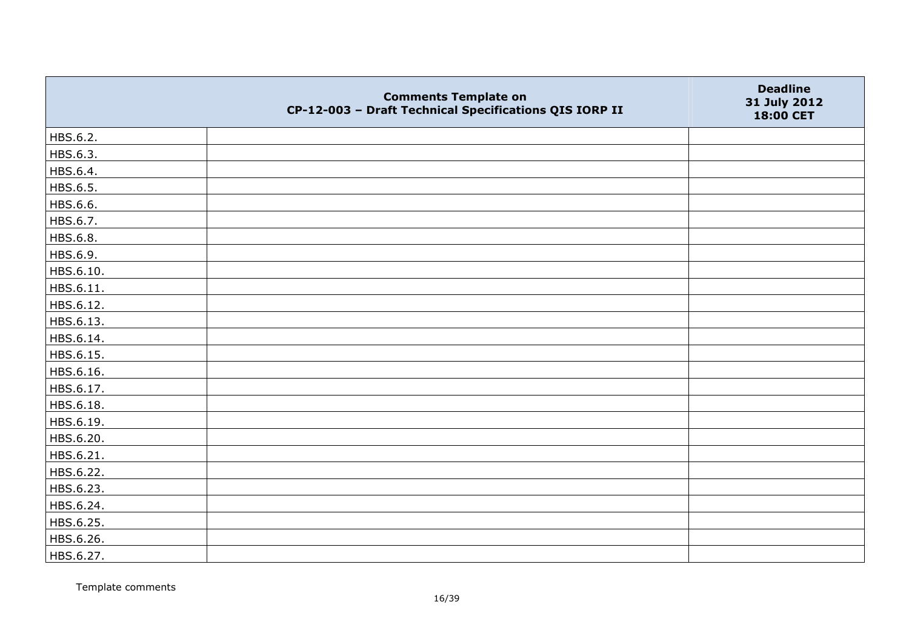|           | <b>Comments Template on</b><br>CP-12-003 - Draft Technical Specifications QIS IORP II | <b>Deadline</b><br>31 July 2012<br>18:00 CET |
|-----------|---------------------------------------------------------------------------------------|----------------------------------------------|
| HBS.6.2.  |                                                                                       |                                              |
| HBS.6.3.  |                                                                                       |                                              |
| HBS.6.4.  |                                                                                       |                                              |
| HBS.6.5.  |                                                                                       |                                              |
| HBS.6.6.  |                                                                                       |                                              |
| HBS.6.7.  |                                                                                       |                                              |
| HBS.6.8.  |                                                                                       |                                              |
| HBS.6.9.  |                                                                                       |                                              |
| HBS.6.10. |                                                                                       |                                              |
| HBS.6.11. |                                                                                       |                                              |
| HBS.6.12. |                                                                                       |                                              |
| HBS.6.13. |                                                                                       |                                              |
| HBS.6.14. |                                                                                       |                                              |
| HBS.6.15. |                                                                                       |                                              |
| HBS.6.16. |                                                                                       |                                              |
| HBS.6.17. |                                                                                       |                                              |
| HBS.6.18. |                                                                                       |                                              |
| HBS.6.19. |                                                                                       |                                              |
| HBS.6.20. |                                                                                       |                                              |
| HBS.6.21. |                                                                                       |                                              |
| HBS.6.22. |                                                                                       |                                              |
| HBS.6.23. |                                                                                       |                                              |
| HBS.6.24. |                                                                                       |                                              |
| HBS.6.25. |                                                                                       |                                              |
| HBS.6.26. |                                                                                       |                                              |
| HBS.6.27. |                                                                                       |                                              |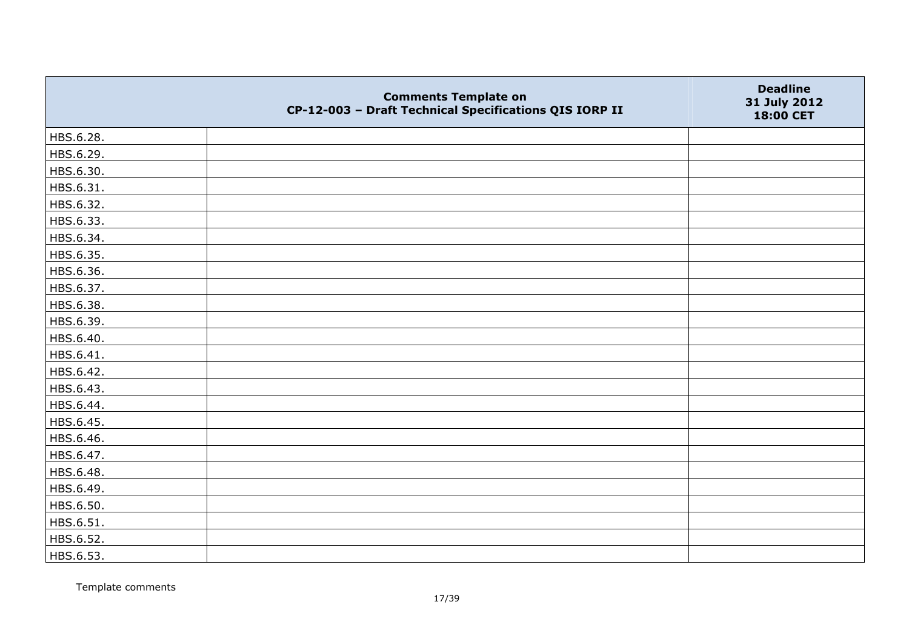|           | <b>Comments Template on</b><br>CP-12-003 - Draft Technical Specifications QIS IORP II | <b>Deadline</b><br>31 July 2012<br>18:00 CET |
|-----------|---------------------------------------------------------------------------------------|----------------------------------------------|
| HBS.6.28. |                                                                                       |                                              |
| HBS.6.29. |                                                                                       |                                              |
| HBS.6.30. |                                                                                       |                                              |
| HBS.6.31. |                                                                                       |                                              |
| HBS.6.32. |                                                                                       |                                              |
| HBS.6.33. |                                                                                       |                                              |
| HBS.6.34. |                                                                                       |                                              |
| HBS.6.35. |                                                                                       |                                              |
| HBS.6.36. |                                                                                       |                                              |
| HBS.6.37. |                                                                                       |                                              |
| HBS.6.38. |                                                                                       |                                              |
| HBS.6.39. |                                                                                       |                                              |
| HBS.6.40. |                                                                                       |                                              |
| HBS.6.41. |                                                                                       |                                              |
| HBS.6.42. |                                                                                       |                                              |
| HBS.6.43. |                                                                                       |                                              |
| HBS.6.44. |                                                                                       |                                              |
| HBS.6.45. |                                                                                       |                                              |
| HBS.6.46. |                                                                                       |                                              |
| HBS.6.47. |                                                                                       |                                              |
| HBS.6.48. |                                                                                       |                                              |
| HBS.6.49. |                                                                                       |                                              |
| HBS.6.50. |                                                                                       |                                              |
| HBS.6.51. |                                                                                       |                                              |
| HBS.6.52. |                                                                                       |                                              |
| HBS.6.53. |                                                                                       |                                              |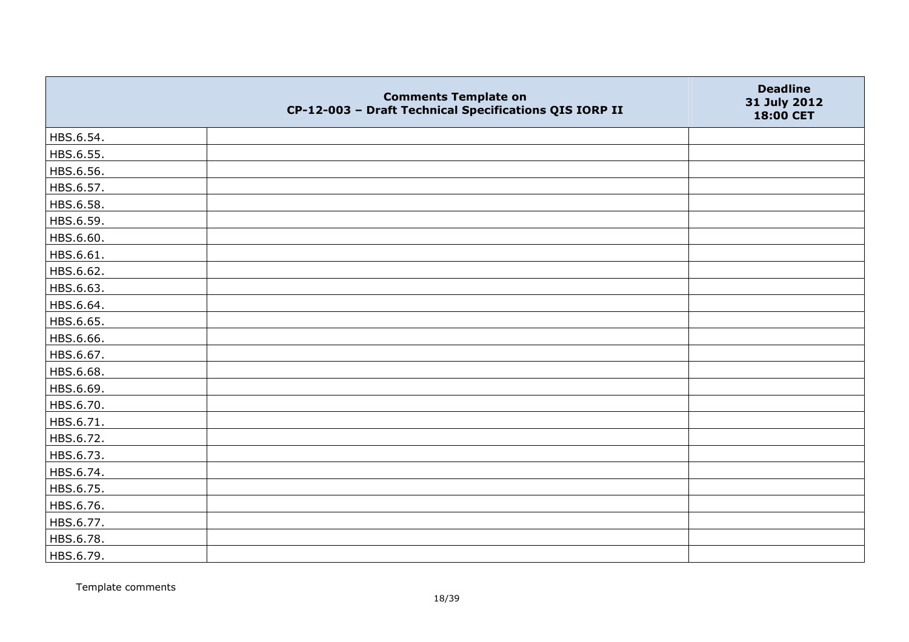|           | <b>Comments Template on</b><br>CP-12-003 - Draft Technical Specifications QIS IORP II | <b>Deadline</b><br>31 July 2012<br>18:00 CET |
|-----------|---------------------------------------------------------------------------------------|----------------------------------------------|
| HBS.6.54. |                                                                                       |                                              |
| HBS.6.55. |                                                                                       |                                              |
| HBS.6.56. |                                                                                       |                                              |
| HBS.6.57. |                                                                                       |                                              |
| HBS.6.58. |                                                                                       |                                              |
| HBS.6.59. |                                                                                       |                                              |
| HBS.6.60. |                                                                                       |                                              |
| HBS.6.61. |                                                                                       |                                              |
| HBS.6.62. |                                                                                       |                                              |
| HBS.6.63. |                                                                                       |                                              |
| HBS.6.64. |                                                                                       |                                              |
| HBS.6.65. |                                                                                       |                                              |
| HBS.6.66. |                                                                                       |                                              |
| HBS.6.67. |                                                                                       |                                              |
| HBS.6.68. |                                                                                       |                                              |
| HBS.6.69. |                                                                                       |                                              |
| HBS.6.70. |                                                                                       |                                              |
| HBS.6.71. |                                                                                       |                                              |
| HBS.6.72. |                                                                                       |                                              |
| HBS.6.73. |                                                                                       |                                              |
| HBS.6.74. |                                                                                       |                                              |
| HBS.6.75. |                                                                                       |                                              |
| HBS.6.76. |                                                                                       |                                              |
| HBS.6.77. |                                                                                       |                                              |
| HBS.6.78. |                                                                                       |                                              |
| HBS.6.79. |                                                                                       |                                              |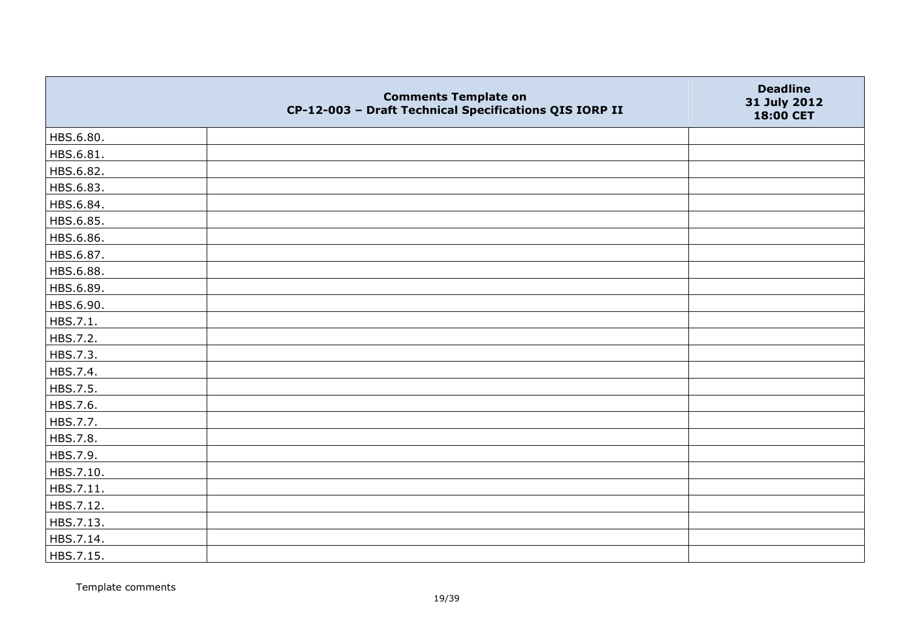|           | <b>Comments Template on</b><br>CP-12-003 - Draft Technical Specifications QIS IORP II | <b>Deadline</b><br>31 July 2012<br>18:00 CET |
|-----------|---------------------------------------------------------------------------------------|----------------------------------------------|
| HBS.6.80. |                                                                                       |                                              |
| HBS.6.81. |                                                                                       |                                              |
| HBS.6.82. |                                                                                       |                                              |
| HBS.6.83. |                                                                                       |                                              |
| HBS.6.84. |                                                                                       |                                              |
| HBS.6.85. |                                                                                       |                                              |
| HBS.6.86. |                                                                                       |                                              |
| HBS.6.87. |                                                                                       |                                              |
| HBS.6.88. |                                                                                       |                                              |
| HBS.6.89. |                                                                                       |                                              |
| HBS.6.90. |                                                                                       |                                              |
| HBS.7.1.  |                                                                                       |                                              |
| HBS.7.2.  |                                                                                       |                                              |
| HBS.7.3.  |                                                                                       |                                              |
| HBS.7.4.  |                                                                                       |                                              |
| HBS.7.5.  |                                                                                       |                                              |
| HBS.7.6.  |                                                                                       |                                              |
| HBS.7.7.  |                                                                                       |                                              |
| HBS.7.8.  |                                                                                       |                                              |
| HBS.7.9.  |                                                                                       |                                              |
| HBS.7.10. |                                                                                       |                                              |
| HBS.7.11. |                                                                                       |                                              |
| HBS.7.12. |                                                                                       |                                              |
| HBS.7.13. |                                                                                       |                                              |
| HBS.7.14. |                                                                                       |                                              |
| HBS.7.15. |                                                                                       |                                              |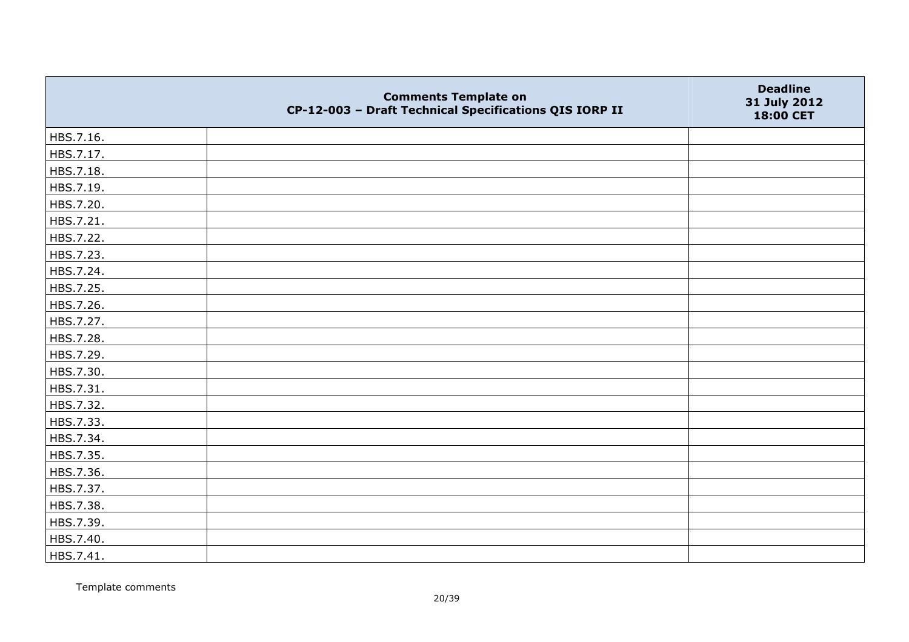|           | <b>Comments Template on</b><br>CP-12-003 - Draft Technical Specifications QIS IORP II | <b>Deadline</b><br>31 July 2012<br>18:00 CET |
|-----------|---------------------------------------------------------------------------------------|----------------------------------------------|
| HBS.7.16. |                                                                                       |                                              |
| HBS.7.17. |                                                                                       |                                              |
| HBS.7.18. |                                                                                       |                                              |
| HBS.7.19. |                                                                                       |                                              |
| HBS.7.20. |                                                                                       |                                              |
| HBS.7.21. |                                                                                       |                                              |
| HBS.7.22. |                                                                                       |                                              |
| HBS.7.23. |                                                                                       |                                              |
| HBS.7.24. |                                                                                       |                                              |
| HBS.7.25. |                                                                                       |                                              |
| HBS.7.26. |                                                                                       |                                              |
| HBS.7.27. |                                                                                       |                                              |
| HBS.7.28. |                                                                                       |                                              |
| HBS.7.29. |                                                                                       |                                              |
| HBS.7.30. |                                                                                       |                                              |
| HBS.7.31. |                                                                                       |                                              |
| HBS.7.32. |                                                                                       |                                              |
| HBS.7.33. |                                                                                       |                                              |
| HBS.7.34. |                                                                                       |                                              |
| HBS.7.35. |                                                                                       |                                              |
| HBS.7.36. |                                                                                       |                                              |
| HBS.7.37. |                                                                                       |                                              |
| HBS.7.38. |                                                                                       |                                              |
| HBS.7.39. |                                                                                       |                                              |
| HBS.7.40. |                                                                                       |                                              |
| HBS.7.41. |                                                                                       |                                              |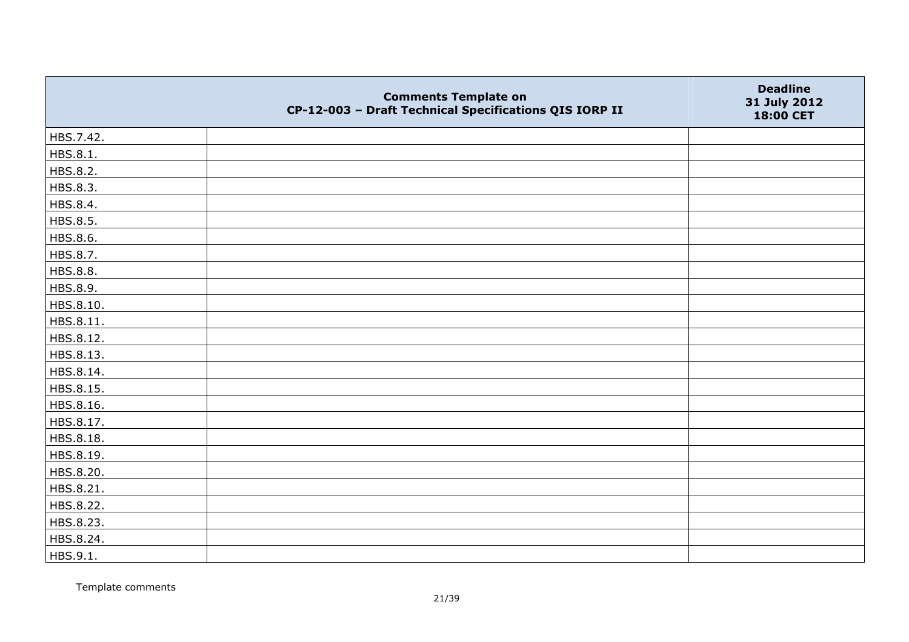|           | <b>Comments Template on</b><br>CP-12-003 - Draft Technical Specifications QIS IORP II | <b>Deadline</b><br>31 July 2012<br>18:00 CET |
|-----------|---------------------------------------------------------------------------------------|----------------------------------------------|
| HBS.7.42. |                                                                                       |                                              |
| HBS.8.1.  |                                                                                       |                                              |
| HBS.8.2.  |                                                                                       |                                              |
| HBS.8.3.  |                                                                                       |                                              |
| HBS.8.4.  |                                                                                       |                                              |
| HBS.8.5.  |                                                                                       |                                              |
| HBS.8.6.  |                                                                                       |                                              |
| HBS.8.7.  |                                                                                       |                                              |
| HBS.8.8.  |                                                                                       |                                              |
| HBS.8.9.  |                                                                                       |                                              |
| HBS.8.10. |                                                                                       |                                              |
| HBS.8.11. |                                                                                       |                                              |
| HBS.8.12. |                                                                                       |                                              |
| HBS.8.13. |                                                                                       |                                              |
| HBS.8.14. |                                                                                       |                                              |
| HBS.8.15. |                                                                                       |                                              |
| HBS.8.16. |                                                                                       |                                              |
| HBS.8.17. |                                                                                       |                                              |
| HBS.8.18. |                                                                                       |                                              |
| HBS.8.19. |                                                                                       |                                              |
| HBS.8.20. |                                                                                       |                                              |
| HBS.8.21. |                                                                                       |                                              |
| HBS.8.22. |                                                                                       |                                              |
| HBS.8.23. |                                                                                       |                                              |
| HBS.8.24. |                                                                                       |                                              |
| HBS.9.1.  |                                                                                       |                                              |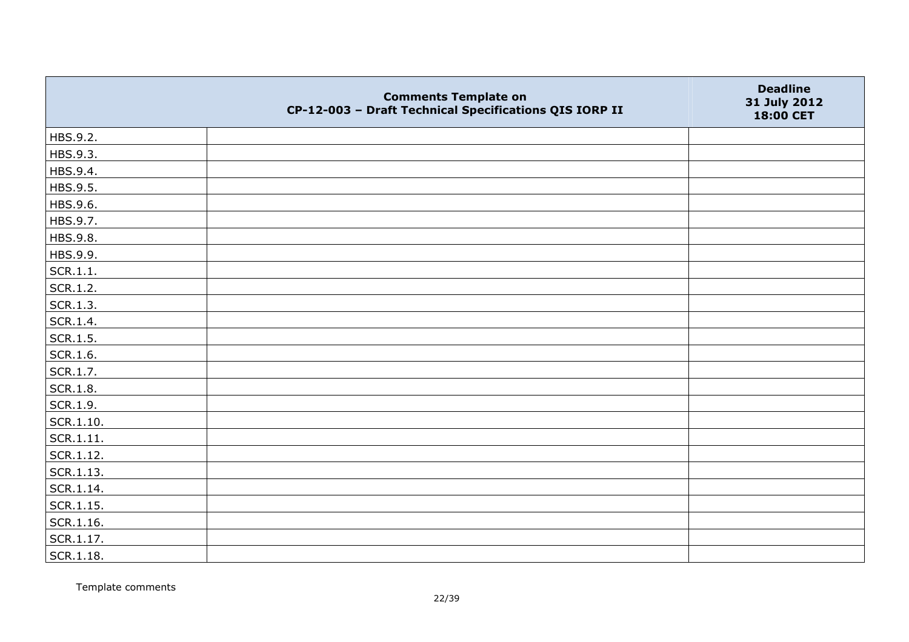|               | <b>Comments Template on</b><br>CP-12-003 - Draft Technical Specifications QIS IORP II | <b>Deadline</b><br>31 July 2012<br>18:00 CET |
|---------------|---------------------------------------------------------------------------------------|----------------------------------------------|
| HBS.9.2.      |                                                                                       |                                              |
| HBS.9.3.      |                                                                                       |                                              |
| HBS.9.4.      |                                                                                       |                                              |
| HBS.9.5.      |                                                                                       |                                              |
| HBS.9.6.      |                                                                                       |                                              |
| HBS.9.7.      |                                                                                       |                                              |
| HBS.9.8.      |                                                                                       |                                              |
| HBS.9.9.      |                                                                                       |                                              |
| SCR.1.1.      |                                                                                       |                                              |
| SCR.1.2.      |                                                                                       |                                              |
| SCR.1.3.      |                                                                                       |                                              |
| SCR.1.4.      |                                                                                       |                                              |
| SCR.1.5.      |                                                                                       |                                              |
| SCR.1.6.      |                                                                                       |                                              |
| SCR.1.7.      |                                                                                       |                                              |
| SCR.1.8.      |                                                                                       |                                              |
| SCR.1.9.      |                                                                                       |                                              |
| $ $ SCR.1.10. |                                                                                       |                                              |
| SCR.1.11.     |                                                                                       |                                              |
| SCR.1.12.     |                                                                                       |                                              |
| SCR.1.13.     |                                                                                       |                                              |
| SCR.1.14.     |                                                                                       |                                              |
| SCR.1.15.     |                                                                                       |                                              |
| SCR.1.16.     |                                                                                       |                                              |
| SCR.1.17.     |                                                                                       |                                              |
| SCR.1.18.     |                                                                                       |                                              |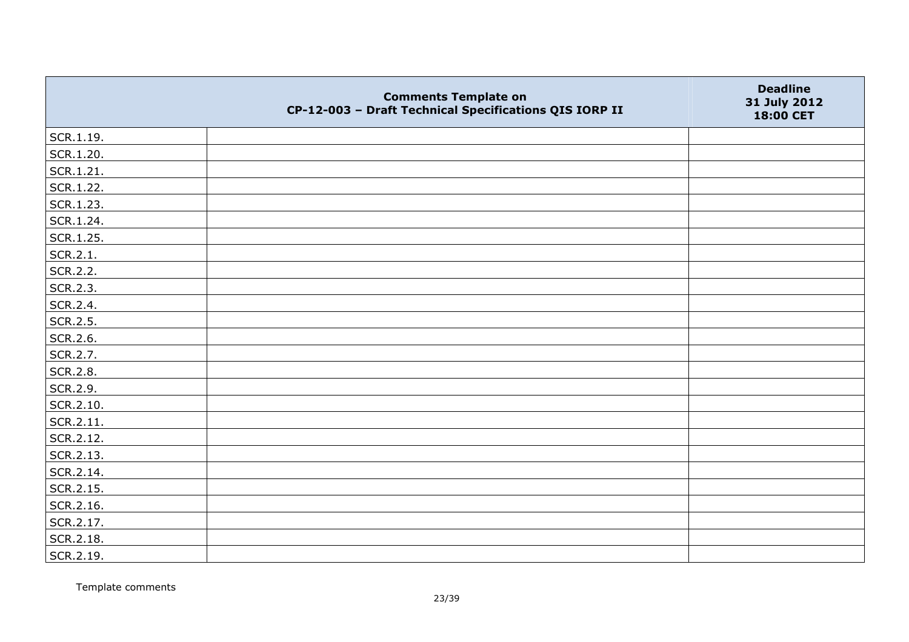|               | <b>Comments Template on</b><br>CP-12-003 - Draft Technical Specifications QIS IORP II | <b>Deadline</b><br>31 July 2012<br>18:00 CET |
|---------------|---------------------------------------------------------------------------------------|----------------------------------------------|
| SCR.1.19.     |                                                                                       |                                              |
| SCR.1.20.     |                                                                                       |                                              |
| $ $ SCR.1.21. |                                                                                       |                                              |
| SCR.1.22.     |                                                                                       |                                              |
| SCR.1.23.     |                                                                                       |                                              |
| SCR.1.24.     |                                                                                       |                                              |
| SCR.1.25.     |                                                                                       |                                              |
| SCR.2.1.      |                                                                                       |                                              |
| SCR.2.2.      |                                                                                       |                                              |
| SCR.2.3.      |                                                                                       |                                              |
| SCR.2.4.      |                                                                                       |                                              |
| SCR.2.5.      |                                                                                       |                                              |
| SCR.2.6.      |                                                                                       |                                              |
| SCR.2.7.      |                                                                                       |                                              |
| SCR.2.8.      |                                                                                       |                                              |
| SCR.2.9.      |                                                                                       |                                              |
| SCR.2.10.     |                                                                                       |                                              |
| SCR.2.11.     |                                                                                       |                                              |
| SCR.2.12.     |                                                                                       |                                              |
| SCR.2.13.     |                                                                                       |                                              |
| SCR.2.14.     |                                                                                       |                                              |
| SCR.2.15.     |                                                                                       |                                              |
| SCR.2.16.     |                                                                                       |                                              |
| SCR.2.17.     |                                                                                       |                                              |
| SCR.2.18.     |                                                                                       |                                              |
| SCR.2.19.     |                                                                                       |                                              |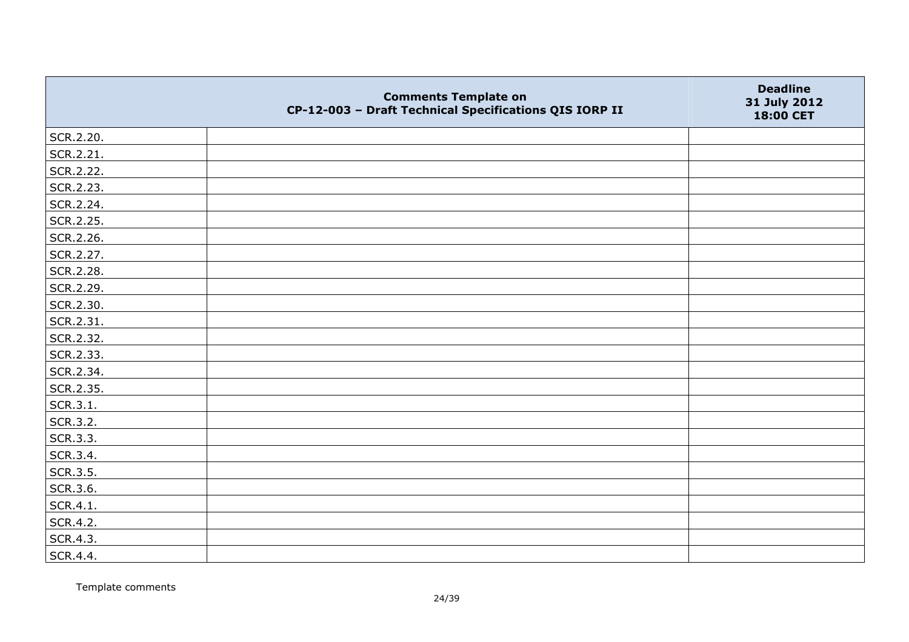|           | <b>Comments Template on</b><br>CP-12-003 - Draft Technical Specifications QIS IORP II | <b>Deadline</b><br>31 July 2012<br>18:00 CET |
|-----------|---------------------------------------------------------------------------------------|----------------------------------------------|
| SCR.2.20. |                                                                                       |                                              |
| SCR.2.21. |                                                                                       |                                              |
| SCR.2.22. |                                                                                       |                                              |
| SCR.2.23. |                                                                                       |                                              |
| SCR.2.24. |                                                                                       |                                              |
| SCR.2.25. |                                                                                       |                                              |
| SCR.2.26. |                                                                                       |                                              |
| SCR.2.27. |                                                                                       |                                              |
| SCR.2.28. |                                                                                       |                                              |
| SCR.2.29. |                                                                                       |                                              |
| SCR.2.30. |                                                                                       |                                              |
| SCR.2.31. |                                                                                       |                                              |
| SCR.2.32. |                                                                                       |                                              |
| SCR.2.33. |                                                                                       |                                              |
| SCR.2.34. |                                                                                       |                                              |
| SCR.2.35. |                                                                                       |                                              |
| SCR.3.1.  |                                                                                       |                                              |
| SCR.3.2.  |                                                                                       |                                              |
| SCR.3.3.  |                                                                                       |                                              |
| SCR.3.4.  |                                                                                       |                                              |
| SCR.3.5.  |                                                                                       |                                              |
| SCR.3.6.  |                                                                                       |                                              |
| SCR.4.1.  |                                                                                       |                                              |
| SCR.4.2.  |                                                                                       |                                              |
| SCR.4.3.  |                                                                                       |                                              |
| SCR.4.4.  |                                                                                       |                                              |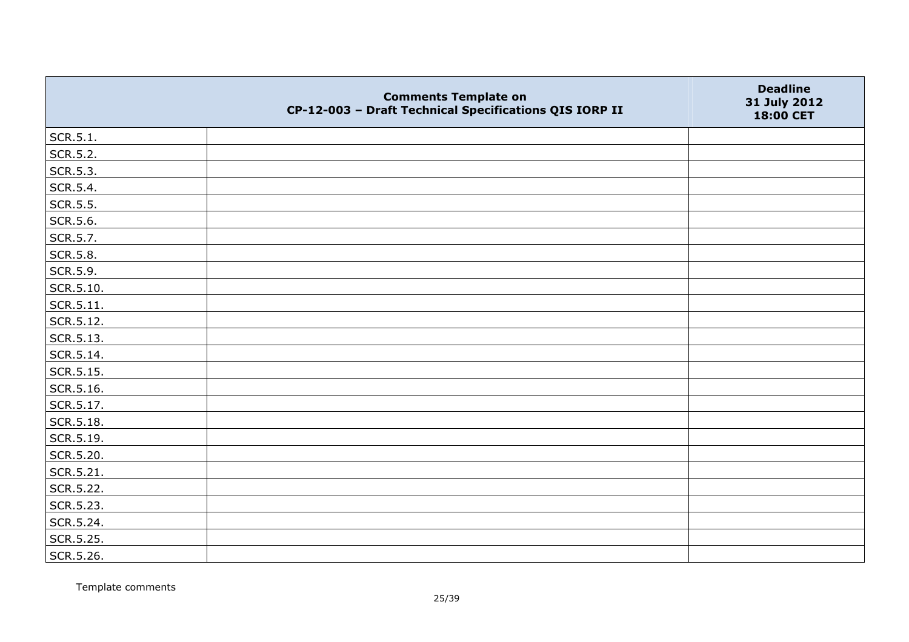|                   | <b>Comments Template on</b><br>CP-12-003 - Draft Technical Specifications QIS IORP II | <b>Deadline</b><br>31 July 2012<br>18:00 CET |
|-------------------|---------------------------------------------------------------------------------------|----------------------------------------------|
| SCR.5.1.          |                                                                                       |                                              |
| SCR.5.2.          |                                                                                       |                                              |
| SCR.5.3.          |                                                                                       |                                              |
| SCR.5.4.          |                                                                                       |                                              |
| SCR.5.5.          |                                                                                       |                                              |
| SCR.5.6.          |                                                                                       |                                              |
| SCR.5.7.          |                                                                                       |                                              |
| SCR.5.8.          |                                                                                       |                                              |
| SCR.5.9.          |                                                                                       |                                              |
| SCR.5.10.         |                                                                                       |                                              |
| $\vert$ SCR.5.11. |                                                                                       |                                              |
| SCR.5.12.         |                                                                                       |                                              |
| SCR.5.13.         |                                                                                       |                                              |
| SCR.5.14.         |                                                                                       |                                              |
| $\vert$ SCR.5.15. |                                                                                       |                                              |
| SCR.5.16.         |                                                                                       |                                              |
| SCR.5.17.         |                                                                                       |                                              |
| SCR.5.18.         |                                                                                       |                                              |
| SCR.5.19.         |                                                                                       |                                              |
| SCR.5.20.         |                                                                                       |                                              |
| $\vert$ SCR.5.21. |                                                                                       |                                              |
| SCR.5.22.         |                                                                                       |                                              |
| SCR.5.23.         |                                                                                       |                                              |
| SCR.5.24.         |                                                                                       |                                              |
| SCR.5.25.         |                                                                                       |                                              |
| SCR.5.26.         |                                                                                       |                                              |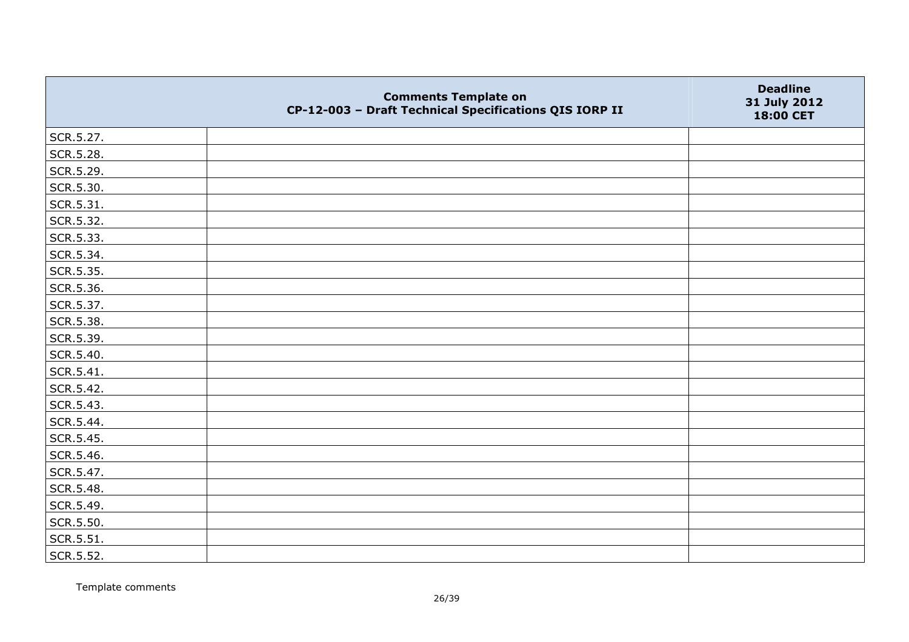|           | <b>Comments Template on</b><br>CP-12-003 - Draft Technical Specifications QIS IORP II | <b>Deadline</b><br>31 July 2012<br>18:00 CET |
|-----------|---------------------------------------------------------------------------------------|----------------------------------------------|
| SCR.5.27. |                                                                                       |                                              |
| SCR.5.28. |                                                                                       |                                              |
| SCR.5.29. |                                                                                       |                                              |
| SCR.5.30. |                                                                                       |                                              |
| SCR.5.31. |                                                                                       |                                              |
| SCR.5.32. |                                                                                       |                                              |
| SCR.5.33. |                                                                                       |                                              |
| SCR.5.34. |                                                                                       |                                              |
| SCR.5.35. |                                                                                       |                                              |
| SCR.5.36. |                                                                                       |                                              |
| SCR.5.37. |                                                                                       |                                              |
| SCR.5.38. |                                                                                       |                                              |
| SCR.5.39. |                                                                                       |                                              |
| SCR.5.40. |                                                                                       |                                              |
| SCR.5.41. |                                                                                       |                                              |
| SCR.5.42. |                                                                                       |                                              |
| SCR.5.43. |                                                                                       |                                              |
| SCR.5.44. |                                                                                       |                                              |
| SCR.5.45. |                                                                                       |                                              |
| SCR.5.46. |                                                                                       |                                              |
| SCR.5.47. |                                                                                       |                                              |
| SCR.5.48. |                                                                                       |                                              |
| SCR.5.49. |                                                                                       |                                              |
| SCR.5.50. |                                                                                       |                                              |
| SCR.5.51. |                                                                                       |                                              |
| SCR.5.52. |                                                                                       |                                              |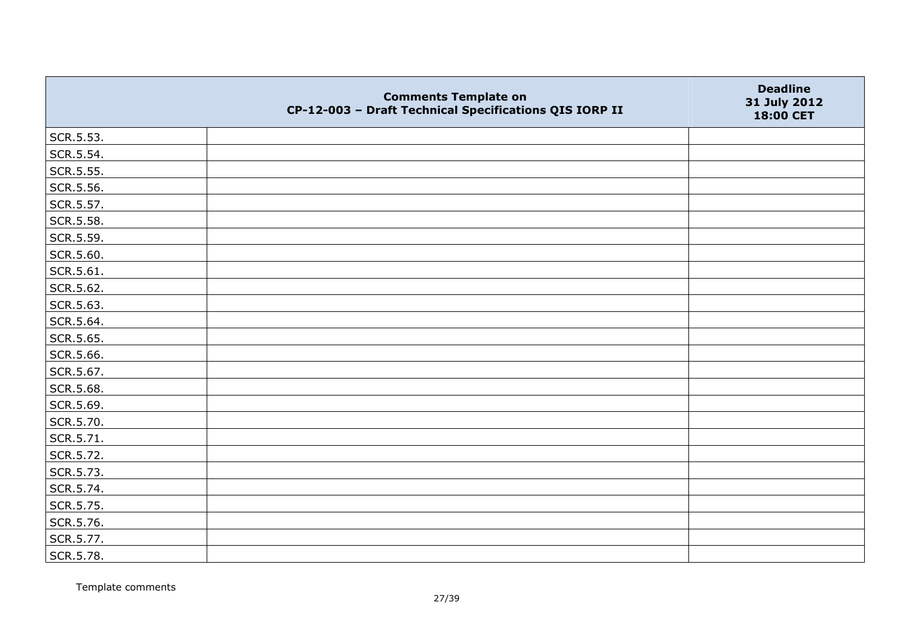|           | <b>Comments Template on</b><br>CP-12-003 - Draft Technical Specifications QIS IORP II | <b>Deadline</b><br>31 July 2012<br>18:00 CET |
|-----------|---------------------------------------------------------------------------------------|----------------------------------------------|
| SCR.5.53. |                                                                                       |                                              |
| SCR.5.54. |                                                                                       |                                              |
| SCR.5.55. |                                                                                       |                                              |
| SCR.5.56. |                                                                                       |                                              |
| SCR.5.57. |                                                                                       |                                              |
| SCR.5.58. |                                                                                       |                                              |
| SCR.5.59. |                                                                                       |                                              |
| SCR.5.60. |                                                                                       |                                              |
| SCR.5.61. |                                                                                       |                                              |
| SCR.5.62. |                                                                                       |                                              |
| SCR.5.63. |                                                                                       |                                              |
| SCR.5.64. |                                                                                       |                                              |
| SCR.5.65. |                                                                                       |                                              |
| SCR.5.66. |                                                                                       |                                              |
| SCR.5.67. |                                                                                       |                                              |
| SCR.5.68. |                                                                                       |                                              |
| SCR.5.69. |                                                                                       |                                              |
| SCR.5.70. |                                                                                       |                                              |
| SCR.5.71. |                                                                                       |                                              |
| SCR.5.72. |                                                                                       |                                              |
| SCR.5.73. |                                                                                       |                                              |
| SCR.5.74. |                                                                                       |                                              |
| SCR.5.75. |                                                                                       |                                              |
| SCR.5.76. |                                                                                       |                                              |
| SCR.5.77. |                                                                                       |                                              |
| SCR.5.78. |                                                                                       |                                              |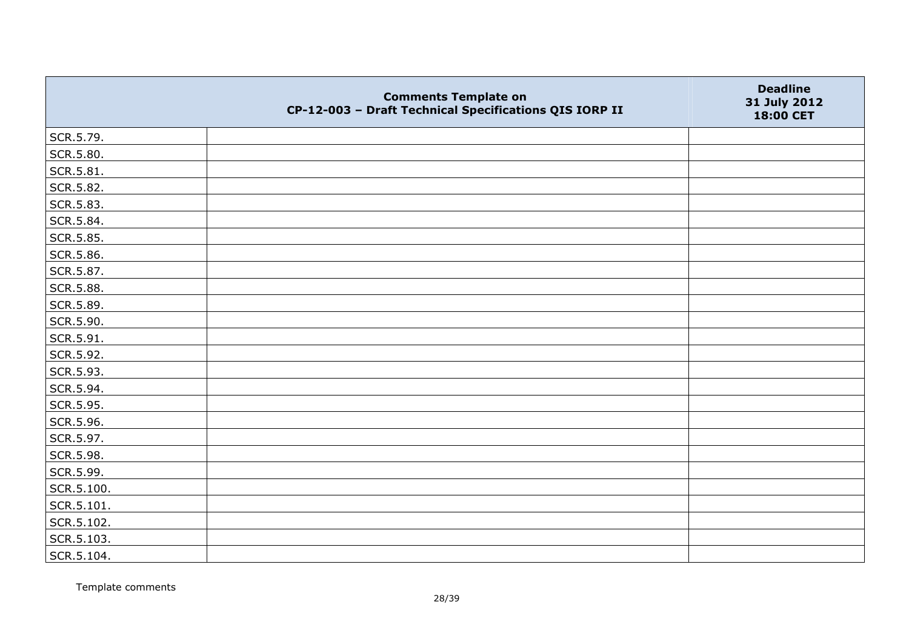|            | <b>Comments Template on</b><br>CP-12-003 - Draft Technical Specifications QIS IORP II | <b>Deadline</b><br>31 July 2012<br>18:00 CET |
|------------|---------------------------------------------------------------------------------------|----------------------------------------------|
| SCR.5.79.  |                                                                                       |                                              |
| SCR.5.80.  |                                                                                       |                                              |
| SCR.5.81.  |                                                                                       |                                              |
| SCR.5.82.  |                                                                                       |                                              |
| SCR.5.83.  |                                                                                       |                                              |
| SCR.5.84.  |                                                                                       |                                              |
| SCR.5.85.  |                                                                                       |                                              |
| SCR.5.86.  |                                                                                       |                                              |
| SCR.5.87.  |                                                                                       |                                              |
| SCR.5.88.  |                                                                                       |                                              |
| SCR.5.89.  |                                                                                       |                                              |
| SCR.5.90.  |                                                                                       |                                              |
| SCR.5.91.  |                                                                                       |                                              |
| SCR.5.92.  |                                                                                       |                                              |
| SCR.5.93.  |                                                                                       |                                              |
| SCR.5.94.  |                                                                                       |                                              |
| SCR.5.95.  |                                                                                       |                                              |
| SCR.5.96.  |                                                                                       |                                              |
| SCR.5.97.  |                                                                                       |                                              |
| SCR.5.98.  |                                                                                       |                                              |
| SCR.5.99.  |                                                                                       |                                              |
| SCR.5.100. |                                                                                       |                                              |
| SCR.5.101. |                                                                                       |                                              |
| SCR.5.102. |                                                                                       |                                              |
| SCR.5.103. |                                                                                       |                                              |
| SCR.5.104. |                                                                                       |                                              |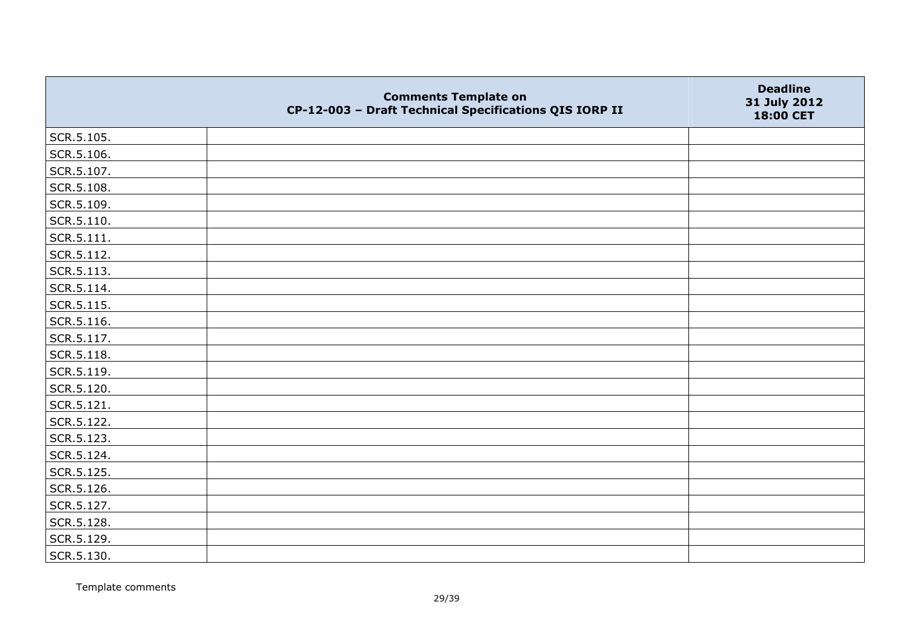|            | <b>Comments Template on</b><br>CP-12-003 - Draft Technical Specifications QIS IORP II | <b>Deadline</b><br>31 July 2012<br>18:00 CET |
|------------|---------------------------------------------------------------------------------------|----------------------------------------------|
| SCR.5.105. |                                                                                       |                                              |
| SCR.5.106. |                                                                                       |                                              |
| SCR.5.107. |                                                                                       |                                              |
| SCR.5.108. |                                                                                       |                                              |
| SCR.5.109. |                                                                                       |                                              |
| SCR.5.110. |                                                                                       |                                              |
| SCR.5.111. |                                                                                       |                                              |
| SCR.5.112. |                                                                                       |                                              |
| SCR.5.113. |                                                                                       |                                              |
| SCR.5.114. |                                                                                       |                                              |
| SCR.5.115. |                                                                                       |                                              |
| SCR.5.116. |                                                                                       |                                              |
| SCR.5.117. |                                                                                       |                                              |
| SCR.5.118. |                                                                                       |                                              |
| SCR.5.119. |                                                                                       |                                              |
| SCR.5.120. |                                                                                       |                                              |
| SCR.5.121. |                                                                                       |                                              |
| SCR.5.122. |                                                                                       |                                              |
| SCR.5.123. |                                                                                       |                                              |
| SCR.5.124. |                                                                                       |                                              |
| SCR.5.125. |                                                                                       |                                              |
| SCR.5.126. |                                                                                       |                                              |
| SCR.5.127. |                                                                                       |                                              |
| SCR.5.128. |                                                                                       |                                              |
| SCR.5.129. |                                                                                       |                                              |
| SCR.5.130. |                                                                                       |                                              |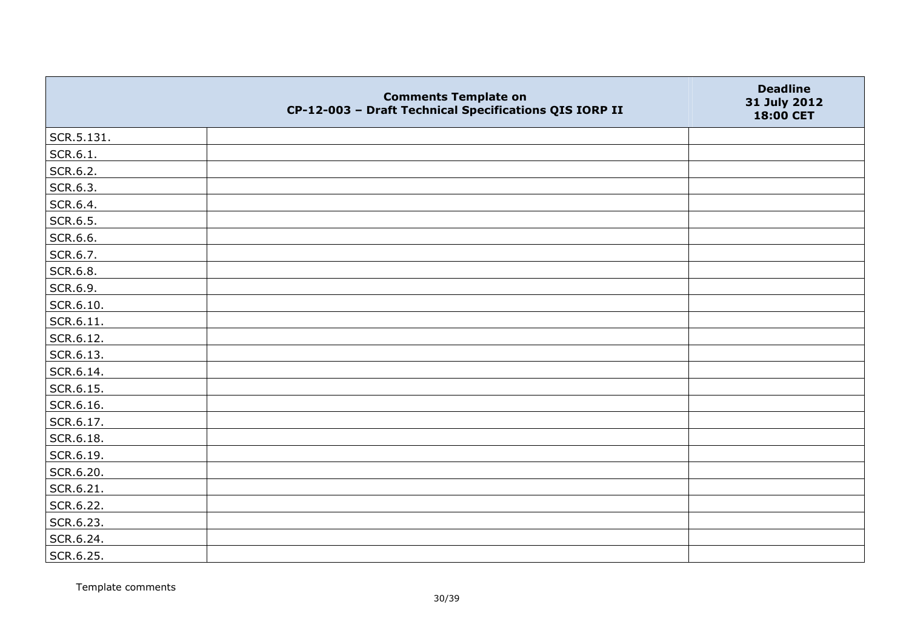|            | <b>Comments Template on</b><br>CP-12-003 - Draft Technical Specifications QIS IORP II | <b>Deadline</b><br>31 July 2012<br>18:00 CET |
|------------|---------------------------------------------------------------------------------------|----------------------------------------------|
| SCR.5.131. |                                                                                       |                                              |
| SCR.6.1.   |                                                                                       |                                              |
| SCR.6.2.   |                                                                                       |                                              |
| SCR.6.3.   |                                                                                       |                                              |
| SCR.6.4.   |                                                                                       |                                              |
| SCR.6.5.   |                                                                                       |                                              |
| SCR.6.6.   |                                                                                       |                                              |
| SCR.6.7.   |                                                                                       |                                              |
| SCR.6.8.   |                                                                                       |                                              |
| SCR.6.9.   |                                                                                       |                                              |
| SCR.6.10.  |                                                                                       |                                              |
| SCR.6.11.  |                                                                                       |                                              |
| SCR.6.12.  |                                                                                       |                                              |
| SCR.6.13.  |                                                                                       |                                              |
| SCR.6.14.  |                                                                                       |                                              |
| SCR.6.15.  |                                                                                       |                                              |
| SCR.6.16.  |                                                                                       |                                              |
| SCR.6.17.  |                                                                                       |                                              |
| SCR.6.18.  |                                                                                       |                                              |
| SCR.6.19.  |                                                                                       |                                              |
| SCR.6.20.  |                                                                                       |                                              |
| SCR.6.21.  |                                                                                       |                                              |
| SCR.6.22.  |                                                                                       |                                              |
| SCR.6.23.  |                                                                                       |                                              |
| SCR.6.24.  |                                                                                       |                                              |
| SCR.6.25.  |                                                                                       |                                              |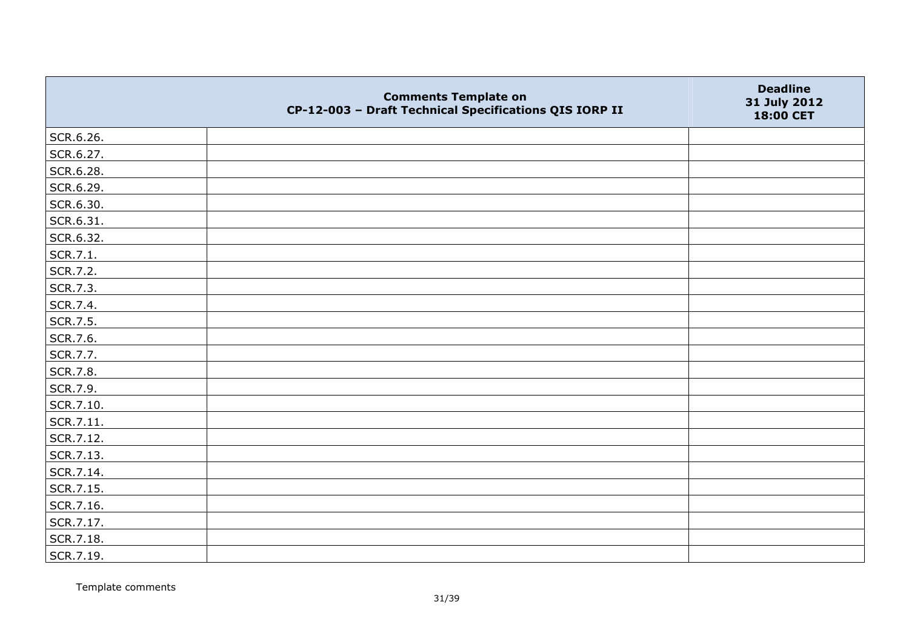|           | <b>Comments Template on</b><br>CP-12-003 - Draft Technical Specifications QIS IORP II | <b>Deadline</b><br>31 July 2012<br>18:00 CET |
|-----------|---------------------------------------------------------------------------------------|----------------------------------------------|
| SCR.6.26. |                                                                                       |                                              |
| SCR.6.27. |                                                                                       |                                              |
| SCR.6.28. |                                                                                       |                                              |
| SCR.6.29. |                                                                                       |                                              |
| SCR.6.30. |                                                                                       |                                              |
| SCR.6.31. |                                                                                       |                                              |
| SCR.6.32. |                                                                                       |                                              |
| SCR.7.1.  |                                                                                       |                                              |
| SCR.7.2.  |                                                                                       |                                              |
| SCR.7.3.  |                                                                                       |                                              |
| SCR.7.4.  |                                                                                       |                                              |
| SCR.7.5.  |                                                                                       |                                              |
| SCR.7.6.  |                                                                                       |                                              |
| SCR.7.7.  |                                                                                       |                                              |
| SCR.7.8.  |                                                                                       |                                              |
| SCR.7.9.  |                                                                                       |                                              |
| SCR.7.10. |                                                                                       |                                              |
| SCR.7.11. |                                                                                       |                                              |
| SCR.7.12. |                                                                                       |                                              |
| SCR.7.13. |                                                                                       |                                              |
| SCR.7.14. |                                                                                       |                                              |
| SCR.7.15. |                                                                                       |                                              |
| SCR.7.16. |                                                                                       |                                              |
| SCR.7.17. |                                                                                       |                                              |
| SCR.7.18. |                                                                                       |                                              |
| SCR.7.19. |                                                                                       |                                              |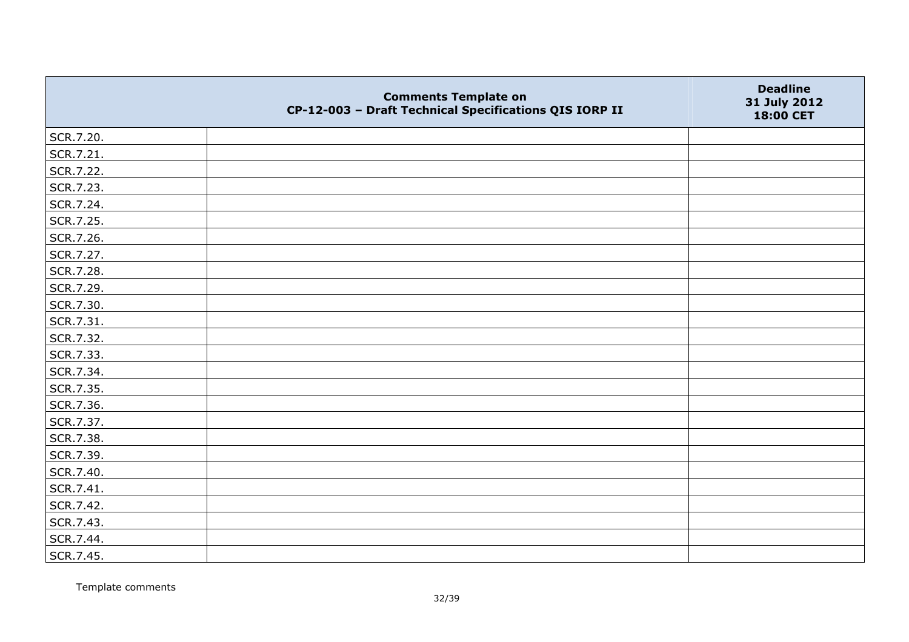|           | <b>Comments Template on</b><br>CP-12-003 - Draft Technical Specifications QIS IORP II | <b>Deadline</b><br>31 July 2012<br>18:00 CET |
|-----------|---------------------------------------------------------------------------------------|----------------------------------------------|
| SCR.7.20. |                                                                                       |                                              |
| SCR.7.21. |                                                                                       |                                              |
| SCR.7.22. |                                                                                       |                                              |
| SCR.7.23. |                                                                                       |                                              |
| SCR.7.24. |                                                                                       |                                              |
| SCR.7.25. |                                                                                       |                                              |
| SCR.7.26. |                                                                                       |                                              |
| SCR.7.27. |                                                                                       |                                              |
| SCR.7.28. |                                                                                       |                                              |
| SCR.7.29. |                                                                                       |                                              |
| SCR.7.30. |                                                                                       |                                              |
| SCR.7.31. |                                                                                       |                                              |
| SCR.7.32. |                                                                                       |                                              |
| SCR.7.33. |                                                                                       |                                              |
| SCR.7.34. |                                                                                       |                                              |
| SCR.7.35. |                                                                                       |                                              |
| SCR.7.36. |                                                                                       |                                              |
| SCR.7.37. |                                                                                       |                                              |
| SCR.7.38. |                                                                                       |                                              |
| SCR.7.39. |                                                                                       |                                              |
| SCR.7.40. |                                                                                       |                                              |
| SCR.7.41. |                                                                                       |                                              |
| SCR.7.42. |                                                                                       |                                              |
| SCR.7.43. |                                                                                       |                                              |
| SCR.7.44. |                                                                                       |                                              |
| SCR.7.45. |                                                                                       |                                              |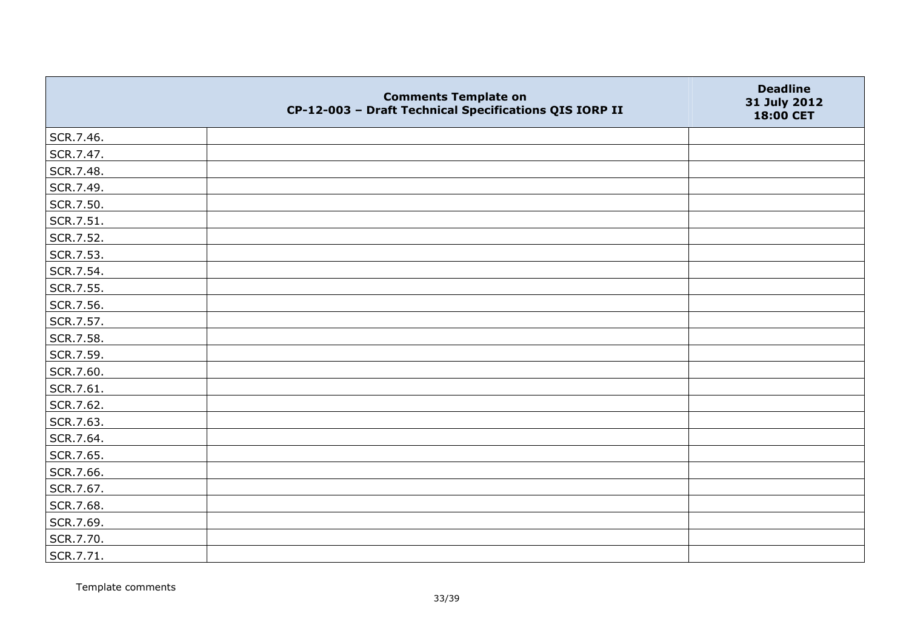|           | <b>Comments Template on</b><br>CP-12-003 - Draft Technical Specifications QIS IORP II | <b>Deadline</b><br>31 July 2012<br>18:00 CET |
|-----------|---------------------------------------------------------------------------------------|----------------------------------------------|
| SCR.7.46. |                                                                                       |                                              |
| SCR.7.47. |                                                                                       |                                              |
| SCR.7.48. |                                                                                       |                                              |
| SCR.7.49. |                                                                                       |                                              |
| SCR.7.50. |                                                                                       |                                              |
| SCR.7.51. |                                                                                       |                                              |
| SCR.7.52. |                                                                                       |                                              |
| SCR.7.53. |                                                                                       |                                              |
| SCR.7.54. |                                                                                       |                                              |
| SCR.7.55. |                                                                                       |                                              |
| SCR.7.56. |                                                                                       |                                              |
| SCR.7.57. |                                                                                       |                                              |
| SCR.7.58. |                                                                                       |                                              |
| SCR.7.59. |                                                                                       |                                              |
| SCR.7.60. |                                                                                       |                                              |
| SCR.7.61. |                                                                                       |                                              |
| SCR.7.62. |                                                                                       |                                              |
| SCR.7.63. |                                                                                       |                                              |
| SCR.7.64. |                                                                                       |                                              |
| SCR.7.65. |                                                                                       |                                              |
| SCR.7.66. |                                                                                       |                                              |
| SCR.7.67. |                                                                                       |                                              |
| SCR.7.68. |                                                                                       |                                              |
| SCR.7.69. |                                                                                       |                                              |
| SCR.7.70. |                                                                                       |                                              |
| SCR.7.71. |                                                                                       |                                              |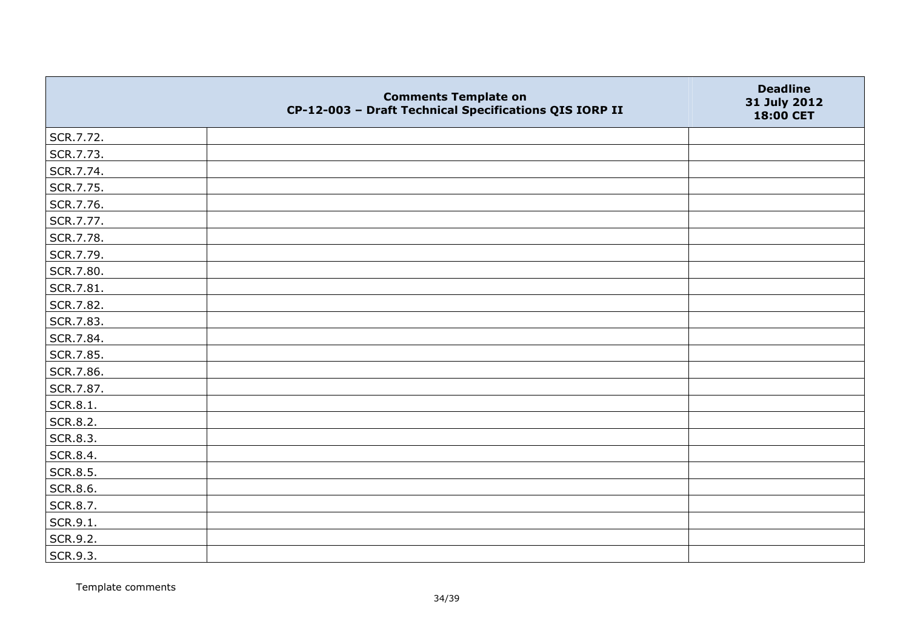|                 | <b>Comments Template on</b><br>CP-12-003 - Draft Technical Specifications QIS IORP II | <b>Deadline</b><br>31 July 2012<br>18:00 CET |
|-----------------|---------------------------------------------------------------------------------------|----------------------------------------------|
| SCR.7.72.       |                                                                                       |                                              |
| SCR.7.73.       |                                                                                       |                                              |
| SCR.7.74.       |                                                                                       |                                              |
| SCR.7.75.       |                                                                                       |                                              |
| SCR.7.76.       |                                                                                       |                                              |
| SCR.7.77.       |                                                                                       |                                              |
| SCR.7.78.       |                                                                                       |                                              |
| SCR.7.79.       |                                                                                       |                                              |
| SCR.7.80.       |                                                                                       |                                              |
| SCR.7.81.       |                                                                                       |                                              |
| SCR.7.82.       |                                                                                       |                                              |
| SCR.7.83.       |                                                                                       |                                              |
| SCR.7.84.       |                                                                                       |                                              |
| SCR.7.85.       |                                                                                       |                                              |
| SCR.7.86.       |                                                                                       |                                              |
| SCR.7.87.       |                                                                                       |                                              |
| SCR.8.1.        |                                                                                       |                                              |
| SCR.8.2.        |                                                                                       |                                              |
| SCR.8.3.        |                                                                                       |                                              |
| SCR.8.4.        |                                                                                       |                                              |
| SCR.8.5.        |                                                                                       |                                              |
| <b>SCR.8.6.</b> |                                                                                       |                                              |
| SCR.8.7.        |                                                                                       |                                              |
| SCR.9.1.        |                                                                                       |                                              |
| SCR.9.2.        |                                                                                       |                                              |
| SCR.9.3.        |                                                                                       |                                              |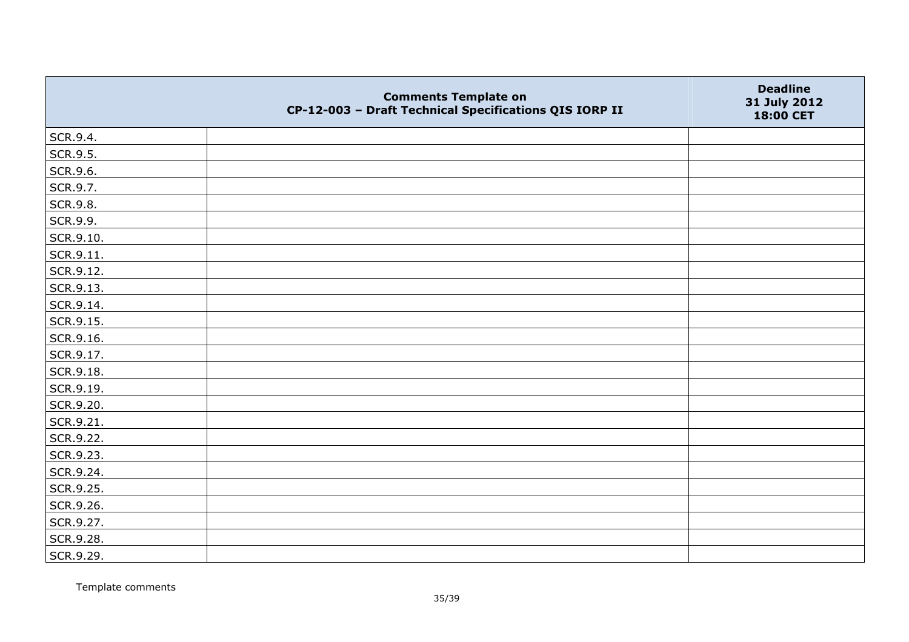|           | <b>Comments Template on</b><br>CP-12-003 - Draft Technical Specifications QIS IORP II | <b>Deadline</b><br>31 July 2012<br>18:00 CET |
|-----------|---------------------------------------------------------------------------------------|----------------------------------------------|
| SCR.9.4.  |                                                                                       |                                              |
| SCR.9.5.  |                                                                                       |                                              |
| SCR.9.6.  |                                                                                       |                                              |
| SCR.9.7.  |                                                                                       |                                              |
| SCR.9.8.  |                                                                                       |                                              |
| SCR.9.9.  |                                                                                       |                                              |
| SCR.9.10. |                                                                                       |                                              |
| SCR.9.11. |                                                                                       |                                              |
| SCR.9.12. |                                                                                       |                                              |
| SCR.9.13. |                                                                                       |                                              |
| SCR.9.14. |                                                                                       |                                              |
| SCR.9.15. |                                                                                       |                                              |
| SCR.9.16. |                                                                                       |                                              |
| SCR.9.17. |                                                                                       |                                              |
| SCR.9.18. |                                                                                       |                                              |
| SCR.9.19. |                                                                                       |                                              |
| SCR.9.20. |                                                                                       |                                              |
| SCR.9.21. |                                                                                       |                                              |
| SCR.9.22. |                                                                                       |                                              |
| SCR.9.23. |                                                                                       |                                              |
| SCR.9.24. |                                                                                       |                                              |
| SCR.9.25. |                                                                                       |                                              |
| SCR.9.26. |                                                                                       |                                              |
| SCR.9.27. |                                                                                       |                                              |
| SCR.9.28. |                                                                                       |                                              |
| SCR.9.29. |                                                                                       |                                              |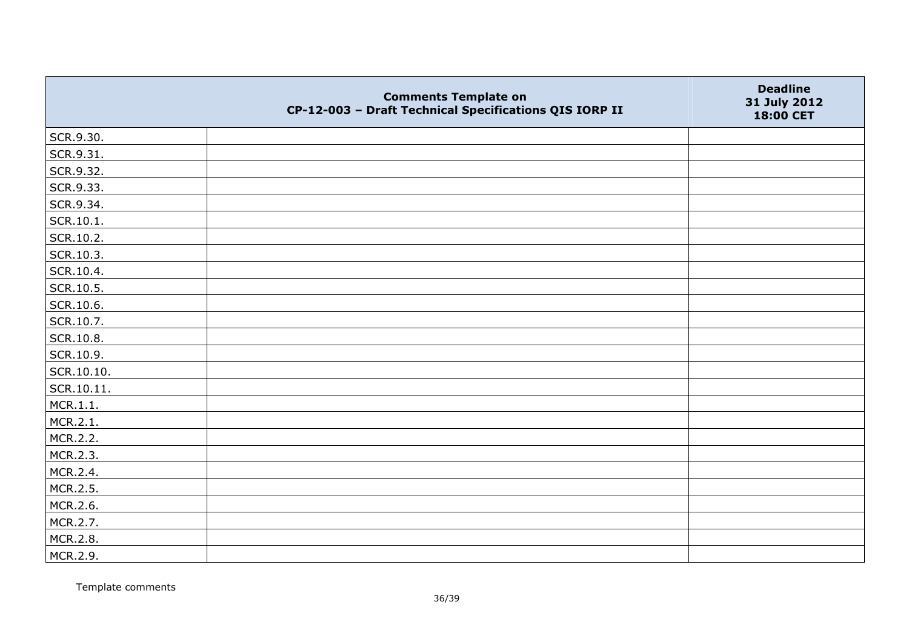|            | <b>Comments Template on</b><br>CP-12-003 - Draft Technical Specifications QIS IORP II | <b>Deadline</b><br>31 July 2012<br>18:00 CET |
|------------|---------------------------------------------------------------------------------------|----------------------------------------------|
| SCR.9.30.  |                                                                                       |                                              |
| SCR.9.31.  |                                                                                       |                                              |
| SCR.9.32.  |                                                                                       |                                              |
| SCR.9.33.  |                                                                                       |                                              |
| SCR.9.34.  |                                                                                       |                                              |
| SCR.10.1.  |                                                                                       |                                              |
| SCR.10.2.  |                                                                                       |                                              |
| SCR.10.3.  |                                                                                       |                                              |
| SCR.10.4.  |                                                                                       |                                              |
| SCR.10.5.  |                                                                                       |                                              |
| SCR.10.6.  |                                                                                       |                                              |
| SCR.10.7.  |                                                                                       |                                              |
| SCR.10.8.  |                                                                                       |                                              |
| SCR.10.9.  |                                                                                       |                                              |
| SCR.10.10. |                                                                                       |                                              |
| SCR.10.11. |                                                                                       |                                              |
| MCR.1.1.   |                                                                                       |                                              |
| MCR.2.1.   |                                                                                       |                                              |
| MCR.2.2.   |                                                                                       |                                              |
| MCR.2.3.   |                                                                                       |                                              |
| MCR.2.4.   |                                                                                       |                                              |
| MCR.2.5.   |                                                                                       |                                              |
| MCR.2.6.   |                                                                                       |                                              |
| MCR.2.7.   |                                                                                       |                                              |
| MCR.2.8.   |                                                                                       |                                              |
| MCR.2.9.   |                                                                                       |                                              |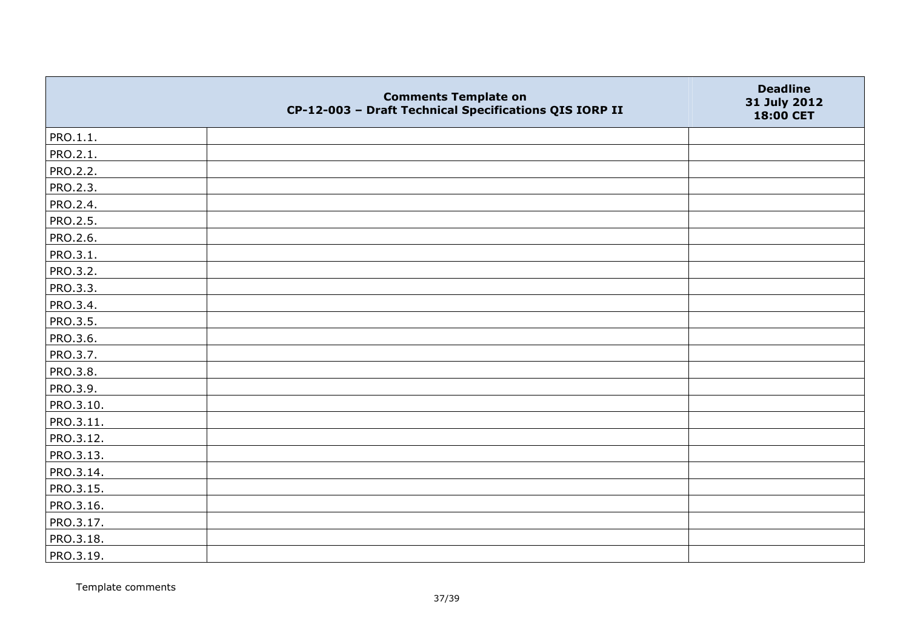|           | <b>Comments Template on</b><br>CP-12-003 - Draft Technical Specifications QIS IORP II | <b>Deadline</b><br>31 July 2012<br>18:00 CET |
|-----------|---------------------------------------------------------------------------------------|----------------------------------------------|
| PRO.1.1.  |                                                                                       |                                              |
| PRO.2.1.  |                                                                                       |                                              |
| PRO.2.2.  |                                                                                       |                                              |
| PRO.2.3.  |                                                                                       |                                              |
| PRO.2.4.  |                                                                                       |                                              |
| PRO.2.5.  |                                                                                       |                                              |
| PRO.2.6.  |                                                                                       |                                              |
| PRO.3.1.  |                                                                                       |                                              |
| PRO.3.2.  |                                                                                       |                                              |
| PRO.3.3.  |                                                                                       |                                              |
| PRO.3.4.  |                                                                                       |                                              |
| PRO.3.5.  |                                                                                       |                                              |
| PRO.3.6.  |                                                                                       |                                              |
| PRO.3.7.  |                                                                                       |                                              |
| PRO.3.8.  |                                                                                       |                                              |
| PRO.3.9.  |                                                                                       |                                              |
| PRO.3.10. |                                                                                       |                                              |
| PRO.3.11. |                                                                                       |                                              |
| PRO.3.12. |                                                                                       |                                              |
| PRO.3.13. |                                                                                       |                                              |
| PRO.3.14. |                                                                                       |                                              |
| PRO.3.15. |                                                                                       |                                              |
| PRO.3.16. |                                                                                       |                                              |
| PRO.3.17. |                                                                                       |                                              |
| PRO.3.18. |                                                                                       |                                              |
| PRO.3.19. |                                                                                       |                                              |